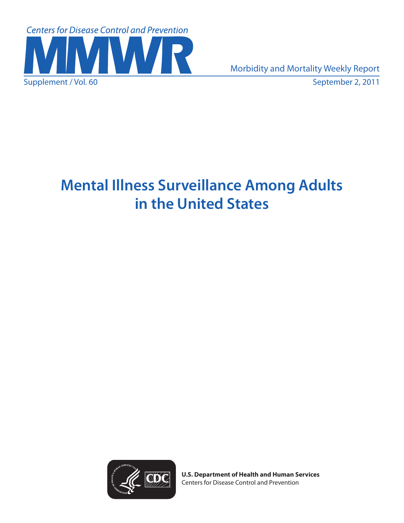

Morbidity and Mortality Weekly Report

# **Mental Illness Surveillance Among Adults in the United States**



**U.S. Department of Health and Human Services** Centers for Disease Control and Prevention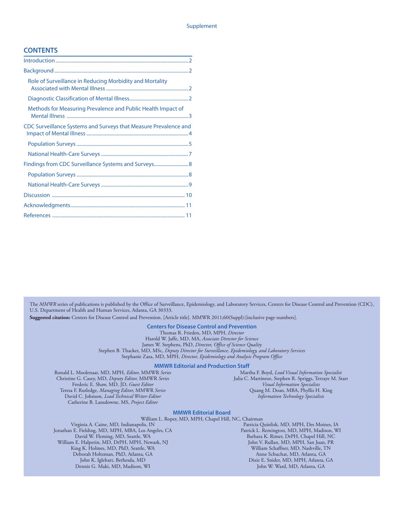#### **CONTENTS**

| Role of Surveillance in Reducing Morbidity and Mortality         |  |
|------------------------------------------------------------------|--|
|                                                                  |  |
| Methods for Measuring Prevalence and Public Health Impact of     |  |
| CDC Surveillance Systems and Surveys that Measure Prevalence and |  |
|                                                                  |  |
|                                                                  |  |
| Findings from CDC Surveillance Systems and Surveys 8             |  |
|                                                                  |  |
|                                                                  |  |
|                                                                  |  |
|                                                                  |  |
|                                                                  |  |

The *MMWR* series of publications is published by the Office of Surveillance, Epidemiology, and Laboratory Services, Centers for Disease Control and Prevention (CDC), U.S. Department of Health and Human Services, Atlanta, GA 30333.

**Suggested citation:** Centers for Disease Control and Prevention. [Article title]. MMWR 2011;60(Suppl):[inclusive page numbers].

**Centers for Disease Control and Prevention**

Thomas R. Frieden, MD, MPH, *Director*

Harold W. Jaffe, MD, MA, *Associate Director for Science*

James W. Stephens, PhD, *Director, Office of Science Quality* Stephen B. Thacker, MD, MSc, *Deputy Director for Surveillance, Epidemiology, and Laboratory Services*

Stephanie Zaza, MD, MPH, *Director, Epidemiology and Analysis Program Office*

#### **MMWR Editorial and Production Staff**

Ronald L. Moolenaar, MD, MPH, *Editor,* MMWR *Series* Christine G. Casey, MD, *Deputy Editor,* MMWR *Series* Frederic E. Shaw, MD, JD, *Guest Editor*  Teresa F. Rutledge, *Managing Editor,* MMWR *Series* David C. Johnson, *Lead Technical Writer-Editor* Catherine B. Lansdowne, MS, *Project Editor*

Martha F. Boyd, *Lead Visual Information Specialist* Julia C. Martinroe, Stephen R. Spriggs, Terraye M. Starr *Visual Information Specialists* Quang M. Doan, MBA, Phyllis H. King *Information Technology Specialists*

#### **MMWR Editorial Board**

William L. Roper, MD, MPH, Chapel Hill, NC, Chairman

Virginia A. Caine, MD, Indianapolis, IN Jonathan E. Fielding, MD, MPH, MBA, Los Angeles, CA David W. Fleming, MD, Seattle, WA William E. Halperin, MD, DrPH, MPH, Newark, NJ King K. Holmes, MD, PhD, Seattle, WA Deborah Holtzman, PhD, Atlanta, GA John K. Iglehart, Bethesda, MD Dennis G. Maki, MD, Madison, WI

Patricia Quinlisk, MD, MPH, Des Moines, IA Patrick L. Remington, MD, MPH, Madison, WI Barbara K. Rimer, DrPH, Chapel Hill, NC John V. Rullan, MD, MPH, San Juan, PR William Schaffner, MD, Nashville, TN Anne Schuchat, MD, Atlanta, GA Dixie E. Snider, MD, MPH, Atlanta, GA John W. Ward, MD, Atlanta, GA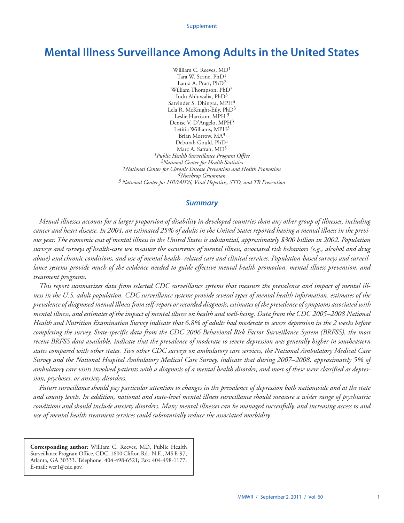## **Mental Illness Surveillance Among Adults in the United States**

William C. Reeves, MD1 Tara W. Strine, PhD1 Laura A. Pratt, PhD2 William Thompson, PhD3 Indu Ahluwalia, PhD3 Satvinder S. Dhingra, MPH4 Lela R. McKnight-Eily, PhD3 Leslie Harrison, MPH 3 Denise V. D'Angelo, MPH3 Letitia Williams, MPH<sup>3</sup> Brian Morrow, MA3 Deborah Gould, PhD1 Marc A. Safran, MD<sup>5</sup> *1Public Health Surveillance Program Office 2National Center for Health Statistics 3National Center for Chronic Disease Prevention and Health Promotion 4Northrop Grumman 5 National Center for HIV/AIDS, Viral Hepatitis, STD, and TB Prevention*

#### *Summary*

*Mental illnesses account for a larger proportion of disability in developed countries than any other group of illnesses, including cancer and heart disease. In 2004, an estimated 25% of adults in the United States reported having a mental illness in the previous year. The economic cost of mental illness in the United States is substantial, approximately \$300 billion in 2002. Population surveys and surveys of health-care use measure the occurrence of mental illness, associated risk behaviors (e.g., alcohol and drug abuse) and chronic conditions, and use of mental health–related care and clinical services. Population-based surveys and surveillance systems provide much of the evidence needed to guide effective mental health promotion, mental illness prevention, and treatment programs.* 

*This report summarizes data from selected CDC surveillance systems that measure the prevalence and impact of mental illness in the U.S. adult population. CDC surveillance systems provide several types of mental health information: estimates of the prevalence of diagnosed mental illness from self-report or recorded diagnosis, estimates of the prevalence of symptoms associated with mental illness, and estimates of the impact of mental illness on health and well-being. Data from the CDC 2005–2008 National Health and Nutrition Examination Survey indicate that 6.8% of adults had moderate to severe depression in the 2 weeks before completing the survey. State-specific data from the CDC 2006 Behavioral Risk Factor Surveillance System (BRFSS), the most recent BRFSS data available, indicate that the prevalence of moderate to severe depression was generally higher in southeastern states compared with other states. Two other CDC surveys on ambulatory care services, the National Ambulatory Medical Care Survey and the National Hospital Ambulatory Medical Care Survey, indicate that during 2007–2008, approximately 5% of ambulatory care visits involved patients with a diagnosis of a mental health disorder, and most of these were classified as depression, psychoses, or anxiety disorders.*

*Future surveillance should pay particular attention to changes in the prevalence of depression both nationwide and at the state and county levels. In addition, national and state-level mental illness surveillance should measure a wider range of psychiatric conditions and should include anxiety disorders. Many mental illnesses can be managed successfully, and increasing access to and use of mental health treatment services could substantially reduce the associated morbidity.* 

**Corresponding author:** William C. Reeves, MD, Public Health Surveillance Program Office, CDC, 1600 Clifton Rd., N.E., MS E-97, Atlanta, GA 30333. Telephone: 404-498-6521; Fax: 404-498-1177; E-mail: [wcr1@cdc.gov](mailto:wcr1@cdc.gov).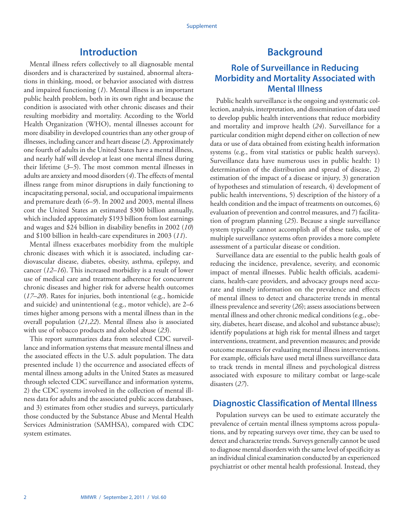## **Introduction**

<span id="page-3-0"></span>Mental illness refers collectively to all diagnosable mental disorders and is characterized by sustained, abnormal alterations in thinking, mood, or behavior associated with distress and impaired functioning (*1*). Mental illness is an important public health problem, both in its own right and because the condition is associated with other chronic diseases and their resulting morbidity and mortality. According to the World Health Organization (WHO), mental illnesses account for more disability in developed countries than any other group of illnesses, including cancer and heart disease (*2*). Approximately one fourth of adults in the United States have a mental illness, and nearly half will develop at least one mental illness during their lifetime (*3–5*). The most common mental illnesses in adults are anxiety and mood disorders (*4*). The effects of mental illness range from minor disruptions in daily functioning to incapacitating personal, social, and occupational impairments and premature death (*6–9*). In 2002 and 2003, mental illness cost the United States an estimated \$300 billion annually, which included approximately \$193 billion from lost earnings and wages and \$24 billion in disability benefits in 2002 (*10*) and \$100 billion in health-care expenditures in 2003 (*11*).

Mental illness exacerbates morbidity from the multiple chronic diseases with which it is associated, including cardiovascular disease, diabetes, obesity, asthma, epilepsy, and cancer (*12–16*). This increased morbidity is a result of lower use of medical care and treatment adherence for concurrent chronic diseases and higher risk for adverse health outcomes (*17–20*). Rates for injuries, both intentional (e.g., homicide and suicide) and unintentional (e.g., motor vehicle), are 2–6 times higher among persons with a mental illness than in the overall population (*21,22*). Mental illness also is associated with use of tobacco products and alcohol abuse (*23*).

This report summarizes data from selected CDC surveillance and information systems that measure mental illness and the associated effects in the U.S. adult population. The data presented include 1) the occurrence and associated effects of mental illness among adults in the United States as measured through selected CDC surveillance and information systems, 2) the CDC systems involved in the collection of mental illness data for adults and the associated public access databases, and 3) estimates from other studies and surveys, particularly those conducted by the Substance Abuse and Mental Health Services Administration (SAMHSA), compared with CDC system estimates.

## **Background**

## **Role of Surveillance in Reducing Morbidity and Mortality Associated with Mental Illness**

Public health surveillance is the ongoing and systematic collection, analysis, interpretation, and dissemination of data used to develop public health interventions that reduce morbidity and mortality and improve health (*24*). Surveillance for a particular condition might depend either on collection of new data or use of data obtained from existing health information systems (e.g., from vital statistics or public health surveys). Surveillance data have numerous uses in public health: 1) determination of the distribution and spread of disease, 2) estimation of the impact of a disease or injury, 3) generation of hypotheses and stimulation of research, 4) development of public health interventions, 5) description of the history of a health condition and the impact of treatments on outcomes, 6) evaluation of prevention and control measures, and 7) facilitation of program planning (*25*). Because a single surveillance system typically cannot accomplish all of these tasks, use of multiple surveillance systems often provides a more complete assessment of a particular disease or condition.

Surveillance data are essential to the public health goals of reducing the incidence, prevalence, severity, and economic impact of mental illnesses. Public health officials, academicians, health-care providers, and advocacy groups need accurate and timely information on the prevalence and effects of mental illness to detect and characterize trends in mental illness prevalence and severity (*26*); assess associations between mental illness and other chronic medical conditions (e.g., obesity, diabetes, heart disease, and alcohol and substance abuse); identify populations at high risk for mental illness and target interventions, treatment, and prevention measures; and provide outcome measures for evaluating mental illness interventions. For example, officials have used metal illness surveillance data to track trends in mental illness and psychological distress associated with exposure to military combat or large-scale disasters (*27*).

## **Diagnostic Classification of Mental Illness**

Population surveys can be used to estimate accurately the prevalence of certain mental illness symptoms across populations, and by repeating surveys over time, they can be used to detect and characterize trends. Surveys generally cannot be used to diagnose mental disorders with the same level of specificity as an individual clinical examination conducted by an experienced psychiatrist or other mental health professional. Instead, they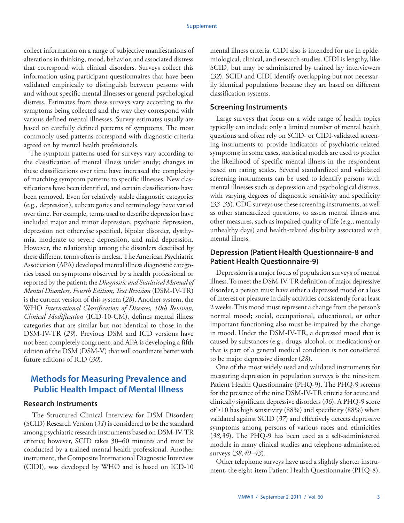<span id="page-4-0"></span>collect information on a range of subjective manifestations of alterations in thinking, mood, behavior, and associated distress that correspond with clinical disorders. Surveys collect this information using participant questionnaires that have been validated empirically to distinguish between persons with and without specific mental illnesses or general psychological distress. Estimates from these surveys vary according to the symptoms being collected and the way they correspond with various defined mental illnesses. Survey estimates usually are based on carefully defined patterns of symptoms. The most commonly used patterns correspond with diagnostic criteria agreed on by mental health professionals.

The symptom patterns used for surveys vary according to the classification of mental illness under study; changes in these classifications over time have increased the complexity of matching symptom patterns to specific illnesses. New classifications have been identified, and certain classifications have been removed. Even for relatively stable diagnostic categories (e.g., depression), subcategories and terminology have varied over time. For example, terms used to describe depression have included major and minor depression, psychotic depression, depression not otherwise specified, bipolar disorder, dysthymia, moderate to severe depression, and mild depression. However, the relationship among the disorders described by these different terms often is unclear. The American Psychiatric Association (APA) developed mental illness diagnostic categories based on symptoms observed by a health professional or reported by the patient; the *Diagnostic and Statistical Manual of Mental Disorders, Fourth Edition, Text Revision* (DSM-IV-TR) is the current version of this system (*28*). Another system, the WHO *International Classification of Diseases, 10th Revision, Clinical Modification* (ICD-10-CM), defines mental illness categories that are similar but not identical to those in the DSM-IV-TR (*29*). Previous DSM and ICD versions have not been completely congruent, and APA is developing a fifth edition of the DSM (DSM-V) that will coordinate better with future editions of ICD (*30*).

## **Methods for Measuring Prevalence and Public Health Impact of Mental Illness**

### **Research Instruments**

 The Structured Clinical Interview for DSM Disorders (SCID) Research Version (*31*) is considered to be the standard among psychiatric research instruments based on DSM-IV-TR criteria; however, SCID takes 30–60 minutes and must be conducted by a trained mental health professional. Another instrument, the Composite International Diagnostic Interview (CIDI), was developed by WHO and is based on ICD-10 mental illness criteria. CIDI also is intended for use in epidemiological, clinical, and research studies. CIDI is lengthy, like SCID, but may be administered by trained lay interviewers (*32*). SCID and CIDI identify overlapping but not necessarily identical populations because they are based on different classification systems.

#### **Screening Instruments**

Large surveys that focus on a wide range of health topics typically can include only a limited number of mental health questions and often rely on SCID- or CIDI-validated screening instruments to provide indicators of psychiatric-related symptoms; in some cases, statistical models are used to predict the likelihood of specific mental illness in the respondent based on rating scales. Several standardized and validated screening instruments can be used to identify persons with mental illnesses such as depression and psychological distress, with varying degrees of diagnostic sensitivity and specificity (*33–35*). CDC surveys use these screening instruments, as well as other standardized questions, to assess mental illness and other measures, such as impaired quality of life (e.g., mentally unhealthy days) and health-related disability associated with mental illness.

## **Depression (Patient Health Questionnaire-8 and Patient Health Questionnaire-9)**

Depression is a major focus of population surveys of mental illness. To meet the DSM-IV-TR definition of major depressive disorder, a person must have either a depressed mood or a loss of interest or pleasure in daily activities consistently for at least 2 weeks. This mood must represent a change from the person's normal mood; social, occupational, educational, or other important functioning also must be impaired by the change in mood. Under the DSM-IV-TR, a depressed mood that is caused by substances (e.g., drugs, alcohol, or medications) or that is part of a general medical condition is not considered to be major depressive disorder (*28*).

One of the most widely used and validated instruments for measuring depression in population surveys is the nine-item Patient Health Questionnaire (PHQ-9). The PHQ-9 screens for the presence of the nine DSM-IV-TR criteria for acute and clinically significant depressive disorders (*36*). A PHQ-9 score of ≥10 has high sensitivity (88%) and specificity (88%) when validated against SCID (*37*) and effectively detects depressive symptoms among persons of various races and ethnicities (*38,39*). The PHQ-9 has been used as a self-administered module in many clinical studies and telephone-administered surveys (*38,40–43*).

Other telephone surveys have used a slightly shorter instrument, the eight-item Patient Health Questionnaire (PHQ-8),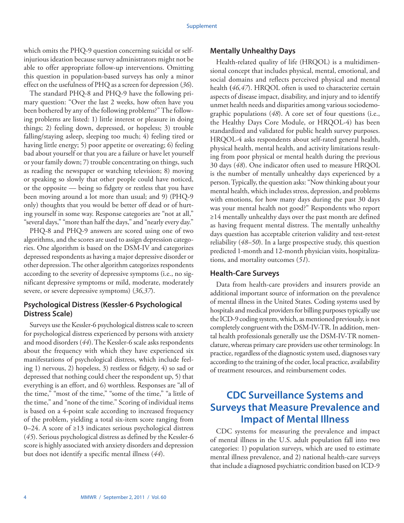<span id="page-5-0"></span>which omits the PHQ-9 question concerning suicidal or selfinjurious ideation because survey administrators might not be able to offer appropriate follow-up interventions. Omitting this question in population-based surveys has only a minor effect on the usefulness of PHQ as a screen for depression (*36*).

The standard PHQ-8 and PHQ-9 have the following primary question: "Over the last 2 weeks, how often have you been bothered by any of the following problems?" The following problems are listed: 1) little interest or pleasure in doing things; 2) feeling down, depressed, or hopeless; 3) trouble falling/staying asleep, sleeping too much; 4) feeling tired or having little energy; 5) poor appetite or overeating; 6) feeling bad about yourself or that you are a failure or have let yourself or your family down; 7) trouble concentrating on things, such as reading the newspaper or watching television; 8) moving or speaking so slowly that other people could have noticed, or the opposite — being so fidgety or restless that you have been moving around a lot more than usual; and 9) (PHQ-9 only) thoughts that you would be better off dead or of hurting yourself in some way. Response categories are "not at all," "several days," "more than half the days," and "nearly every day."

PHQ-8 and PHQ-9 answers are scored using one of two algorithms, and the scores are used to assign depression categories. One algorithm is based on the DSM-IV and categorizes depressed respondents as having a major depressive disorder or other depression. The other algorithm categorizes respondents according to the severity of depressive symptoms (i.e., no significant depressive symptoms or mild, moderate, moderately severe, or severe depressive symptoms) (*36,37*).

## **Psychological Distress (Kessler-6 Psychological Distress Scale)**

Surveys use the Kessler-6 psychological distress scale to screen for psychological distress experienced by persons with anxiety and mood disorders (*44*). The Kessler-6 scale asks respondents about the frequency with which they have experienced six manifestations of psychological distress, which include feeling 1) nervous, 2) hopeless, 3) restless or fidgety, 4) so sad or depressed that nothing could cheer the respondent up, 5) that everything is an effort, and 6) worthless. Responses are "all of the time," "most of the time," "some of the time," "a little of the time," and "none of the time." Scoring of individual items is based on a 4-point scale according to increased frequency of the problem, yielding a total six-item score ranging from 0–24. A score of ≥13 indicates serious psychological distress (*45*). Serious psychological distress as defined by the Kessler-6 score is highly associated with anxiety disorders and depression but does not identify a specific mental illness (*44*).

## **Mentally Unhealthy Days**

Health-related quality of life (HRQOL) is a multidimensional concept that includes physical, mental, emotional, and social domains and reflects perceived physical and mental health **(***46,47*). HRQOL often is used to characterize certain aspects of disease impact, disability, and injury and to identify unmet health needs and disparities among various sociodemographic populations (*48*). A core set of four questions (i.e., the Healthy Days Core Module, or HRQOL-4) has been standardized and validated for public health survey purposes. HRQOL-4 asks respondents about self-rated general health, physical health, mental health, and activity limitations resulting from poor physical or mental health during the previous 30 days (*48*). One indicator often used to measure HRQOL is the number of mentally unhealthy days experienced by a person. Typically, the question asks: "Now thinking about your mental health, which includes stress, depression, and problems with emotions, for how many days during the past 30 days was your mental health not good?" Respondents who report ≥14 mentally unhealthy days over the past month are defined as having frequent mental distress. The mentally unhealthy days question has acceptable criterion validity and test-retest reliability (*48–50*). In a large prospective study, this question predicted 1-month and 12-month physician visits, hospitalizations, and mortality outcomes (*51*).

### **Health-Care Surveys**

Data from health-care providers and insurers provide an additional important source of information on the prevalence of mental illness in the United States. Coding systems used by hospitals and medical providers for billing purposes typically use the ICD-9 coding system, which, as mentioned previously, is not completely congruent with the DSM-IV-TR. In addition, mental health professionals generally use the DSM-IV-TR nomenclature, whereas primary care providers use other terminology. In practice, regardless of the diagnostic system used, diagnoses vary according to the training of the coder, local practice, availability of treatment resources, and reimbursement codes.

## **CDC Surveillance Systems and Surveys that Measure Prevalence and Impact of Mental Illness**

CDC systems for measuring the prevalence and impact of mental illness in the U.S. adult population fall into two categories: 1) population surveys, which are used to estimate mental illness prevalence, and 2) national health-care surveys that include a diagnosed psychiatric condition based on ICD-9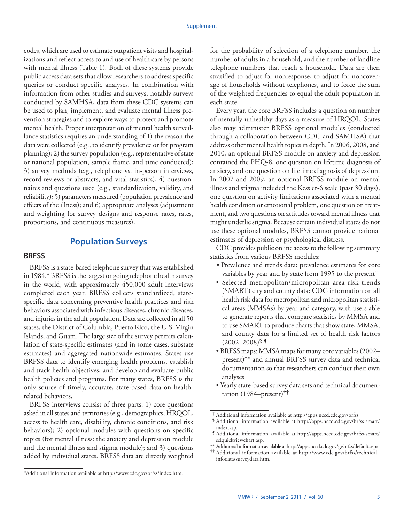<span id="page-6-0"></span>codes, which are used to estimate outpatient visits and hospitalizations and reflect access to and use of health care by persons with mental illness (Table 1). Both of these systems provide public access data sets that allow researchers to address specific queries or conduct specific analyses. In combination with information from other studies and surveys, notably surveys conducted by SAMHSA, data from these CDC systems can be used to plan, implement, and evaluate mental illness prevention strategies and to explore ways to protect and promote mental health. Proper interpretation of mental health surveillance statistics requires an understanding of 1) the reason the data were collected (e.g., to identify prevalence or for program planning); 2) the survey population (e.g., representative of state or national population, sample frame, and time conducted); 3) survey methods (e.g., telephone vs. in-person interviews, record reviews or abstracts, and vital statistics); 4) questionnaires and questions used (e.g., standardization, validity, and reliability); 5) parameters measured (population prevalence and effects of the illness); and 6) appropriate analyses (adjustment and weighting for survey designs and response rates, rates, proportions, and continuous measures).

## **Population Surveys**

#### **BRFSS**

BRFSS is a state-based telephone survey that was established in 1984.\* BRFSS is the largest ongoing telephone health survey in the world, with approximately 450,000 adult interviews completed each year. BRFSS collects standardized, statespecific data concerning preventive health practices and risk behaviors associated with infectious diseases, chronic diseases, and injuries in the adult population. Data are collected in all 50 states, the District of Columbia, Puerto Rico, the U.S. Virgin Islands, and Guam. The large size of the survey permits calculation of state-specific estimates (and in some cases, substate estimates) and aggregated nationwide estimates. States use BRFSS data to identify emerging health problems, establish and track health objectives, and develop and evaluate public health policies and programs. For many states, BRFSS is the only source of timely, accurate, state-based data on healthrelated behaviors.

BRFSS interviews consist of three parts: 1) core questions asked in all states and territories (e.g., demographics, HRQOL, access to health care, disability, chronic conditions, and risk behaviors); 2) optional modules with questions on specific topics (for mental illness: the anxiety and depression module and the mental illness and stigma module); and 3) questions added by individual states. BRFSS data are directly weighted

for the probability of selection of a telephone number, the number of adults in a household, and the number of landline telephone numbers that reach a household. Data are then stratified to adjust for nonresponse, to adjust for noncoverage of households without telephones, and to force the sum of the weighted frequencies to equal the adult population in each state.

Every year, the core BRFSS includes a question on number of mentally unhealthy days as a measure of HRQOL. States also may administer BRFSS optional modules (conducted through a collaboration between CDC and SAMHSA) that address other mental health topics in depth. In 2006, 2008, and 2010, an optional BRFSS module on anxiety and depression contained the PHQ-8, one question on lifetime diagnosis of anxiety, and one question on lifetime diagnosis of depression. In 2007 and 2009, an optional BRFSS module on mental illness and stigma included the Kessler-6 scale (past 30 days), one question on activity limitations associated with a mental health condition or emotional problem, one question on treatment, and two questions on attitudes toward mental illness that might underlie stigma. Because certain individual states do not use these optional modules, BRFSS cannot provide national estimates of depression or psychological distress.

CDC provides public online access to the following summary statistics from various BRFSS modules:

- Prevalence and trends data: prevalence estimates for core variables by year and by state from 1995 to the present<sup>†</sup>
- Selected metropolitan/micropolitan area risk trends (SMART) city and county data: CDC information on all health risk data for metropolitan and micropolitan statistical areas (MMSAs) by year and category, with users able to generate reports that compare statistics by MMSA and to use SMART to produce charts that show state, MMSA, and county data for a limited set of health risk factors  $(2002–2008)^{\$,}$
- BRFSS maps: MMSA maps for many core variables (2002– present)\*\* and annual BRFSS survey data and technical documentation so that researchers can conduct their own analyses
- Yearly state-based survey data sets and technical documentation (1984–present)††

<sup>\*</sup>Additional information available at<http://www.cdc.gov/brfss/index.htm>.

<sup>†</sup> Additional information available at <http://apps.nccd.cdc.gov/brfss>.

<sup>§</sup> Additional information available at [http://apps.nccd.cdc.gov/brfss-smart/](http://apps.nccd.cdc.gov/brfss-smart/index.asp) [index.asp](http://apps.nccd.cdc.gov/brfss-smart/index.asp).

<sup>¶</sup> Additional information available at [http://apps.nccd.cdc.gov/brfss-smart/](http://apps.nccd.cdc.gov/brfss-smart/selquickviewchart.asp) [selquickviewchart.asp](http://apps.nccd.cdc.gov/brfss-smart/selquickviewchart.asp).

<sup>\*\*</sup> Additional information available at [http://apps.nccd.cdc.gov/gisbrfss/default.aspx.](http://apps.nccd.cdc.gov/gisbrfss/default.aspx)

<sup>††</sup> Additional information available at [http://www.cdc.gov/brfss/technical\\_](http://www.cdc.gov/brfss/technical_infodata/surveydata.htm) [infodata/surveydata.htm.](http://www.cdc.gov/brfss/technical_infodata/surveydata.htm)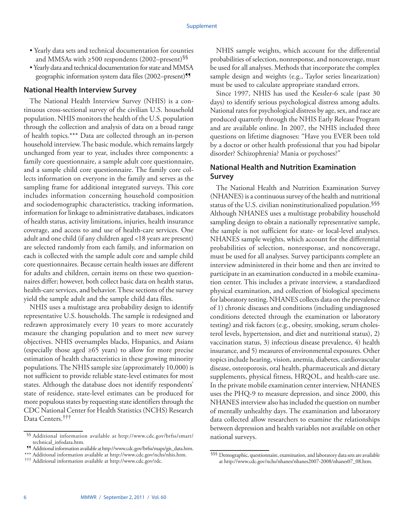- Yearly data sets and technical documentation for counties and MMSAs with ≥500 respondents (2002–present)§§
- Yearly data and technical documentation for state and MMSA geographic information system data files (2002–present)<sup>99</sup>

### **National Health Interview Survey**

The National Health Interview Survey (NHIS) is a continuous cross-sectional survey of the civilian U.S. household population. NHIS monitors the health of the U.S. population through the collection and analysis of data on a broad range of health topics.\*\*\* Data are collected through an in-person household interview. The basic module, which remains largely unchanged from year to year, includes three components: a family core questionnaire, a sample adult core questionnaire, and a sample child core questionnaire. The family core collects information on everyone in the family and serves as the sampling frame for additional integrated surveys. This core includes information concerning household composition and sociodemographic characteristics, tracking information, information for linkage to administrative databases, indicators of health status, activity limitations, injuries, health insurance coverage, and access to and use of health-care services. One adult and one child (if any children aged <18 years are present) are selected randomly from each family, and information on each is collected with the sample adult core and sample child core questionnaires. Because certain health issues are different for adults and children, certain items on these two questionnaires differ; however, both collect basic data on health status, health-care services, and behavior. These sections of the survey yield the sample adult and the sample child data files.

NHIS uses a multistage area probability design to identify representative U.S. households. The sample is redesigned and redrawn approximately every 10 years to more accurately measure the changing population and to meet new survey objectives. NHIS oversamples blacks, Hispanics, and Asians (especially those aged ≥65 years) to allow for more precise estimation of health characteristics in these growing minority populations. The NHIS sample size (approximately 10,000) is not sufficient to provide reliable state-level estimates for most states. Although the database does not identify respondents' state of residence, state-level estimates can be produced for more populous states by requesting state identifiers through the CDC National Center for Health Statistics (NCHS) Research Data Centers.†††

NHIS sample weights, which account for the differential probabilities of selection, nonresponse, and noncoverage, must be used for all analyses. Methods that incorporate the complex sample design and weights (e.g., Taylor series linearization) must be used to calculate appropriate standard errors.

Since 1997, NHIS has used the Kessler-6 scale (past 30 days) to identify serious psychological distress among adults. National rates for psychological distress by age, sex, and race are produced quarterly through the NHIS Early Release Program and are available online. In 2007, the NHIS included three questions on lifetime diagnoses: "Have you EVER been told by a doctor or other health professional that you had bipolar disorder? Schizophrenia? Mania or psychoses?"

## **National Health and Nutrition Examination Survey**

The National Health and Nutrition Examination Survey (NHANES) is a continuous survey of the health and nutritional status of the U.S. civilian noninstitutionalized population.§§§ Although NHANES uses a multistage probability household sampling design to obtain a nationally representative sample, the sample is not sufficient for state- or local-level analyses. NHANES sample weights, which account for the differential probabilities of selection, nonresponse, and noncoverage, must be used for all analyses. Survey participants complete an interview administered in their home and then are invited to participate in an examination conducted in a mobile examination center. This includes a private interview, a standardized physical examination, and collection of biological specimens for laboratory testing. NHANES collects data on the prevalence of 1) chronic diseases and conditions (including undiagnosed conditions detected through the examination or laboratory testing) and risk factors (e.g., obesity, smoking, serum cholesterol levels, hypertension, and diet and nutritional status), 2) vaccination status, 3) infectious disease prevalence, 4) health insurance, and 5) measures of environmental exposures. Other topics include hearing, vision, anemia, diabetes, cardiovascular disease, osteoporosis, oral health, pharmaceuticals and dietary supplements, physical fitness, HRQOL, and health-care use. In the private mobile examination center interview, NHANES uses the PHQ-9 to measure depression, and since 2000, this NHANES interview also has included the question on number of mentally unhealthy days. The examination and laboratory data collected allow researchers to examine the relationships between depression and health variables not available on other

<sup>§§</sup> Additional information available at [http://www.cdc.gov/brfss/smart/](http://www.cdc.gov/brfss/smart/technical_infodata.htm) national surveys. [technical\\_infodata.htm.](http://www.cdc.gov/brfss/smart/technical_infodata.htm)

<sup>¶¶</sup> Additional information available at[http://www.cdc.gov/brfss/maps/gis\\_data.htm](http://www.cdc.gov/brfss/maps/gis_data.htm).

<sup>\*\*\*</sup> Additional information available at<http://www.cdc.gov/nchs/nhis.htm>.

<sup>†††</sup> Additional information available at<http://www.cdc.gov/rdc>.

<sup>§§§</sup> Demographic, questionnaire, examination, and laboratory data sets are available at [http://www.cdc.gov/nchs/nhanes/nhanes2007-2008/nhanes07\\_08.htm](http://www.cdc.gov/nchs/nhanes/nhanes2007-2008/nhanes07_08.htm).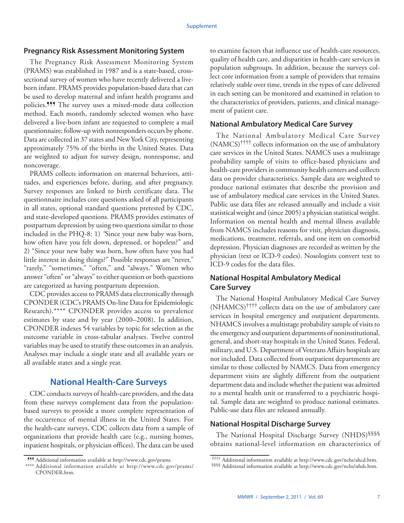### <span id="page-8-0"></span>**Pregnancy Risk Assessment Monitoring System**

The Pregnancy Risk Assessment Monitoring System (PRAMS) was established in 1987 and is a state-based, crosssectional survey of women who have recently delivered a liveborn infant. PRAMS provides population-based data that can be used to develop maternal and infant health programs and policies.<sup>999</sup> The survey uses a mixed-mode data collection method. Each month, randomly selected women who have delivered a live-born infant are requested to complete a mail questionnaire; follow-up with nonresponders occurs by phone. Data are collected in 37 states and New York City, representing approximately 75% of the births in the United States. Data are weighted to adjust for survey design, nonresponse, and noncoverage.

PRAMS collects information on maternal behaviors, attitudes, and experiences before, during, and after pregnancy. Survey responses are linked to birth certificate data. The questionnaire includes core questions asked of all participants in all states, optional standard questions pretested by CDC, and state-developed questions. PRAMS provides estimates of postpartum depression by using two questions similar to those included in the PHQ-8: 1) *"*Since your new baby was born, how often have you felt down, depressed, or hopeless?" and 2) "Since your new baby was born, how often have you had little interest in doing things?" Possible responses are "never," "rarely," "sometimes," "often," and "always." Women who answer "often" or "always" to either question or both questions are categorized as having postpartum depression.

CDC provides access to PRAMS data electronically through CPONDER (CDC's PRAMS On-line Data for Epidemiologic Research).\*\*\*\* CPONDER provides access to prevalence estimates by state and by year (2000–2008). In addition, CPONDER indexes 54 variables by topic for selection as the outcome variable in cross-tabular analyses. Twelve control variables may be used to stratify these outcomes in an analysis. Analyses may include a single state and all available years or all available states and a single year.

## **National Health-Care Surveys**

CDC conducts surveys of health-care providers, and the data from these surveys complement data from the populationbased surveys to provide a more complete representation of the occurrence of mental illness in the United States. For the health-care surveys, CDC collects data from a sample of organizations that provide health care (e.g., nursing homes, inpatient hospitals, or physician offices). The data can be used

to examine factors that influence use of health-care resources, quality of health care, and disparities in health-care services in population subgroups. In addition, because the surveys collect core information from a sample of providers that remains relatively stable over time, trends in the types of care delivered in each setting can be monitored and examined in relation to the characteristics of providers, patients, and clinical management of patient care.

### **National Ambulatory Medical Care Survey**

The National Ambulatory Medical Care Survey (NAMCS)†††† collects information on the use of ambulatory care services in the United States. NAMCS uses a multistage probability sample of visits to office-based physicians and health-care providers in community health centers and collects data on provider characteristics. Sample data are weighted to produce national estimates that describe the provision and use of ambulatory medical care services in the United States. Public use data files are released annually and include a visit statistical weight and (since 2005) a physician statistical weight. Information on mental health and mental illness available from NAMCS includes reasons for visit, physician diagnosis, medications, treatment, referrals, and one item on comorbid depression. Physician diagnoses are recorded as written by the physician (text or ICD-9 codes). Nosologists convert text to ICD-9 codes for the data files.

### **National Hospital Ambulatory Medical Care Survey**

The National Hospital Ambulatory Medical Care Survey (NHAMCS)†††† collects data on the use of ambulatory care services in hospital emergency and outpatient departments. NHAMCS involves a multistage probability sample of visits to the emergency and outpatient departments of noninstitutional, general, and short-stay hospitals in the United States. Federal, military, and U.S. Department of Veterans Affairs hospitals are not included. Data collected from outpatient departments are similar to those collected by NAMCS. Data from emergency department visits are slightly different from the outpatient department data and include whether the patient was admitted to a mental health unit or transferred to a psychiatric hospital. Sample data are weighted to produce national estimates. Public-use data files are released annually.

#### **National Hospital Discharge Survey**

The National Hospital Discharge Survey (NHDS)<sup>§§§§</sup> obtains national-level information on characteristics of

<sup>¶¶¶</sup> Additional information available at <http://www.cdc.gov/prams>.

<sup>\*\*\*\*</sup> Additional information available at [http://www.cdc.gov/prams/](http://www.cdc.gov/prams/CPONDER.htm) [CPONDER.htm.](http://www.cdc.gov/prams/CPONDER.htm)

<sup>††††</sup> Additional information available at <http://www.cdc.gov/nchs/ahcd.htm>. §§§§ Additional information available at <http://www.cdc.gov/nchs/nhds.htm>.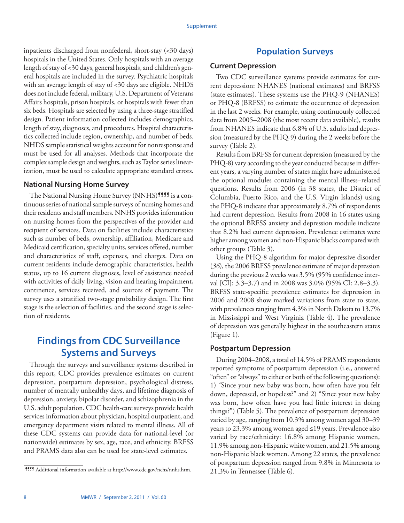<span id="page-9-0"></span>inpatients discharged from nonfederal, short-stay (<30 days) hospitals in the United States. Only hospitals with an average length of stay of <30 days, general hospitals, and children's general hospitals are included in the survey. Psychiatric hospitals with an average length of stay of <30 days are eligible. NHDS does not include federal, military, U.S. Department of Veterans Affairs hospitals, prison hospitals, or hospitals with fewer than six beds. Hospitals are selected by using a three-stage stratified design. Patient information collected includes demographics, length of stay, diagnoses, and procedures. Hospital characteristics collected include region, ownership, and number of beds. NHDS sample statistical weights account for nonresponse and must be used for all analyses. Methods that incorporate the complex sample design and weights, such as Taylor series linearization, must be used to calculate appropriate standard errors.

#### **National Nursing Home Survey**

The National Nursing Home Survey (NNHS)<sup>9999</sup> is a continuous series of national sample surveys of nursing homes and their residents and staff members. NNHS provides information on nursing homes from the perspectives of the provider and recipient of services. Data on facilities include characteristics such as number of beds, ownership, affiliation, Medicare and Medicaid certification, specialty units, services offered, number and characteristics of staff, expenses, and charges. Data on current residents include demographic characteristics, health status, up to 16 current diagnoses, level of assistance needed with activities of daily living, vision and hearing impairment, continence, services received, and sources of payment. The survey uses a stratified two-stage probability design. The first stage is the selection of facilities, and the second stage is selection of residents.

## **Findings from CDC Surveillance Systems and Surveys**

Through the surveys and surveillance systems described in this report, CDC provides prevalence estimates on current depression, postpartum depression, psychological distress, number of mentally unhealthy days, and lifetime diagnosis of depression, anxiety, bipolar disorder, and schizophrenia in the U.S. adult population. CDC health-care surveys provide health services information about physician, hospital outpatient, and emergency department visits related to mental illness. All of these CDC systems can provide data for national-level (or nationwide) estimates by sex, age, race, and ethnicity. BRFSS and PRAMS data also can be used for state-level estimates.

## **Population Surveys**

## **Current Depression**

Two CDC surveillance systems provide estimates for current depression: NHANES (national estimates) and BRFSS (state estimates). These systems use the PHQ-9 (NHANES) or PHQ-8 (BRFSS) to estimate the occurrence of depression in the last 2 weeks. For example, using continuously collected data from 2005–2008 (the most recent data available), results from NHANES indicate that 6.8% of U.S. adults had depression (measured by the PHQ-9) during the 2 weeks before the survey (Table 2).

Results from BRFSS for current depression (measured by the PHQ-8) vary according to the year conducted because in different years, a varying number of states might have administered the optional modules containing the mental illness–related questions. Results from 2006 (in 38 states, the District of Columbia, Puerto Rico, and the U.S. Virgin Islands) using the PHQ-8 indicate that approximately 8.7% of respondents had current depression. Results from 2008 in 16 states using the optional BRFSS anxiety and depression module indicate that 8.2% had current depression. Prevalence estimates were higher among women and non-Hispanic blacks compared with other groups (Table 3).

Using the PHQ-8 algorithm for major depressive disorder (*36*), the 2006 BRFSS prevalence estimate of major depression during the previous 2 weeks was 3.5% (95% confidence interval [CI]: 3.3–3.7) and in 2008 was 3.0% (95% CI: 2.8–3.3). BRFSS state-specific prevalence estimates for depression in 2006 and 2008 show marked variations from state to state, with prevalences ranging from 4.3% in North Dakota to 13.7% in Mississippi and West Virginia (Table 4). The prevalence of depression was generally highest in the southeastern states (Figure 1).

## **Postpartum Depression**

During 2004–2008, a total of 14.5% of PRAMS respondents reported symptoms of postpartum depression (i.e., answered "often" or "always" to either or both of the following questions): 1) *"*Since your new baby was born, how often have you felt down, depressed, or hopeless?" and 2) "Since your new baby was born, how often have you had little interest in doing things?") (Table 5). The prevalence of postpartum depression varied by age, ranging from 10.3% among women aged 30–39 years to 23.3% among women aged ≤19 years. Prevalence also varied by race/ethnicity: 16.8% among Hispanic women, 11.9% among non-Hispanic white women, and 21.5% among non-Hispanic black women. Among 22 states, the prevalence of postpartum depression ranged from 9.8% in Minnesota to

<sup>&</sup>lt;sup>1911</sup> Additional information available at <http://www.cdc.gov/nchs/nnhs.htm>.  $21.3\%$  in Tennessee (Table 6).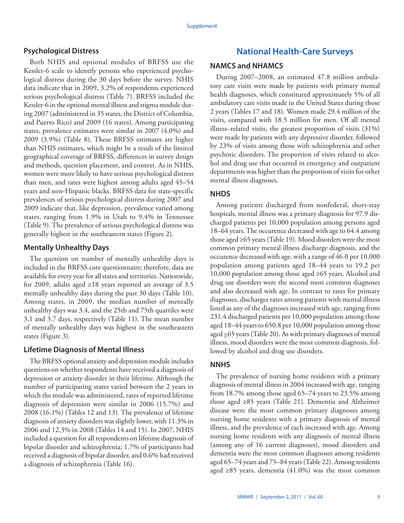### <span id="page-10-0"></span>**Psychological Distress**

Both NHIS and optional modules of BRFSS use the Kessler-6 scale to identify persons who experienced psychological distress during the 30 days before the survey. NHIS data indicate that in 2009, 3.2% of respondents experienced serious psychological distress (Table 7). BRFSS included the Kessler-6 in the optional mental illness and stigma module during 2007 (administered in 35 states, the District of Columbia, and Puerto Rico) and 2009 (16 states). Among participating states, prevalence estimates were similar in 2007 (4.0%) and 2009 (3.9%) (Table 8). These BRFSS estimates are higher than NHIS estimates, which might be a result of the limited geographical coverage of BRFSS, differences in survey design and methods, question placement, and context. As in NHIS, women were more likely to have serious psychological distress than men, and rates were highest among adults aged 45–54 years and non-Hispanic blacks. BRFSS data for state-specific prevalences of serious psychological distress during 2007 and 2009 indicate that, like depression, prevalence varied among states, ranging from 1.9% in Utah to 9.4% in Tennessee (Table 9). The prevalence of serious psychological distress was generally highest in the southeastern states (Figure 2).

### **Mentally Unhealthy Days**

The question on number of mentally unhealthy days is included in the BRFSS core questionnaire; therefore, data are available for every year for all states and territories. Nationwide, for 2009, adults aged ≥18 years reported an average of 3.5 mentally unhealthy days during the past 30 days (Table 10). Among states, in 2009, the median number of mentally unhealthy days was 3.4, and the 25th and 75th quartiles were 3.1 and 3.7 days, respectively (Table 11). The mean number of mentally unhealthy days was highest in the southeastern states (Figure 3).

### **Lifetime Diagnosis of Mental Illness**

The BRFSS optional anxiety and depression module includes questions on whether respondents have received a diagnosis of depression or anxiety disorder in their lifetime. Although the number of participating states varied between the 2 years in which the module was administered, rates of reported lifetime diagnosis of depression were similar in 2006 (15.7%) and 2008 (16.1%) (Tables 12 and 13). The prevalence of lifetime diagnosis of anxiety disorders was slightly lower, with 11.3% in 2006 and 12.3% in 2008 (Tables 14 and 15). In 2007, NHIS included a question for all respondents on lifetime diagnosis of bipolar disorder and schizophrenia; 1.7% of participants had received a diagnosis of bipolar disorder, and 0.6% had received a diagnosis of schizophrenia (Table 16).

## **National Health-Care Surveys**

## **NAMCS and NHAMCS**

During 2007–2008, an estimated 47.8 million ambulatory care visits were made by patients with primary mental health diagnoses, which constituted approximately 5% of all ambulatory care visits made in the United States during those 2 years (Tables 17 and 18). Women made 29.4 million of the visits, compared with 18.5 million for men. Of all mental illness–related visits, the greatest proportion of visits (31%) were made by patients with any depressive disorder, followed by 23% of visits among those with schizophrenia and other psychotic disorders. The proportion of visits related to alcohol and drug use that occurred in emergency and outpatient departments was higher than the proportion of visits for other mental illness diagnoses.

#### **NHDS**

Among patients discharged from nonfederal, short-stay hospitals, mental illness was a primary diagnosis for 97.9 discharged patients per 10,000 population among persons aged 18–64 years. The occurence decreased with age to 64.4 among those aged ≥65 years (Table 19). Mood disorders were the most common primary mental illness discharge diagnosis, and the occurence decreased with age, with a range of 46.0 per 10,000 population among patients aged 18–44 years to 19.2 per 10,000 population among those aged ≥65 years. Alcohol and drug use disorders were the second most common diagnoses and also decreased with age. In contrast to rates for primary diagnoses, discharges rates among patients with mental illness listed as any of the diagnoses increased with age, ranging from 231.4 discharged patients per 10,000 population among those aged 18–44 years to 650.8 per 10,000 population among those aged  $\geq$  65 years (Table 20). As with primary diagnoses of mental illness, mood disorders were the most common diagnosis, followed by alcohol and drug use disorders.

### **NNHS**

The prevalence of nursing home residents with a primary diagnosis of mental illness in 2004 increased with age, ranging from 18.7% among those aged 65–74 years to 23.5% among those aged ≥85 years (Table 21). Dementia and Alzheimer disease were the most common primary diagnoses among nursing home residents with a primary diagnosis of mental illness, and the prevalence of each increased with age. Among nursing home residents with any diagnosis of mental illness (among any of 16 current diagnoses), mood disorders and dementia were the most common diagnoses among residents aged 65–74 years and 75–84 years (Table 22). Among residents aged ≥85 years, dementia (41.0%) was the most common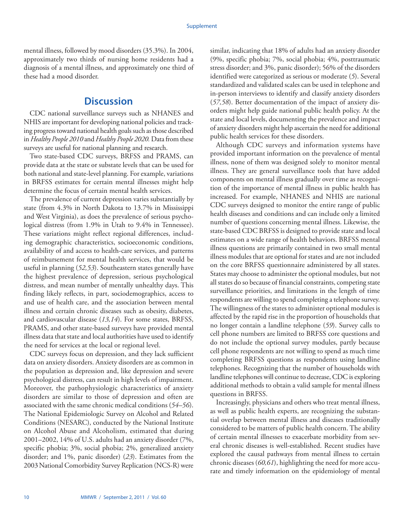<span id="page-11-0"></span>mental illness, followed by mood disorders (35.3%). In 2004, approximately two thirds of nursing home residents had a diagnosis of a mental illness, and approximately one third of these had a mood disorder.

## **Discussion**

CDC national surveillance surveys such as NHANES and NHIS are important for developing national policies and tracking progress toward national health goals such as those described in *Healthy People 2010* and *Healthy People 2020.* Data from these surveys are useful for national planning and research.

Two state-based CDC surveys, BRFSS and PRAMS, can provide data at the state or substate levels that can be used for both national and state-level planning. For example, variations in BRFSS estimates for certain mental illnesses might help determine the focus of certain mental health services.

The prevalence of current depression varies substantially by state (from 4.3% in North Dakota to 13.7% in Mississippi and West Virginia), as does the prevalence of serious psychological distress (from 1.9% in Utah to 9.4% in Tennessee). These variations might reflect regional differences, including demographic characteristics, socioeconomic conditions, availability of and access to health-care services, and patterns of reimbursement for mental health services, that would be useful in planning (*52,53*). Southeastern states generally have the highest prevalence of depression, serious psychological distress, and mean number of mentally unhealthy days. This finding likely reflects, in part, sociodemographics, access to and use of health care, and the association between mental illness and certain chronic diseases such as obesity, diabetes, and cardiovascular disease (*13,14*). For some states, BRFSS, PRAMS, and other state-based surveys have provided mental illness data that state and local authorities have used to identify the need for services at the local or regional level.

CDC surveys focus on depression, and they lack sufficient data on anxiety disorders. Anxiety disorders are as common in the population as depression and, like depression and severe psychological distress, can result in high levels of impairment. Moreover, the pathophysiologic characteristics of anxiety disorders are similar to those of depression and often are associated with the same chronic medical conditions (*54–56*). The National Epidemiologic Survey on Alcohol and Related Conditions (NESARC), conducted by the National Institute on Alcohol Abuse and Alcoholism, estimated that during 2001–2002, 14% of U.S. adults had an anxiety disorder (7%, specific phobia; 3%, social phobia; 2%, generalized anxiety disorder; and 1%, panic disorder) (*23*). Estimates from the 2003National Comorbidity Survey Replication (NCS-R) were similar, indicating that 18% of adults had an anxiety disorder (9%, specific phobia; 7%, social phobia; 4%, posttraumatic stress disorder; and 3%, panic disorder); 56% of the disorders identified were categorized as serious or moderate (*5*). Several standardized and validated scales can be used in telephone and in-person interviews to identify and classify anxiety disorders (*57,58*). Better documentation of the impact of anxiety disorders might help guide national public health policy. At the state and local levels, documenting the prevalence and impact of anxiety disorders might help ascertain the need for additional public health services for these disorders.

Although CDC surveys and information systems have provided important information on the prevalence of mental illness, none of them was designed solely to monitor mental illness. They are general surveillance tools that have added components on mental illness gradually over time as recognition of the importance of mental illness in public health has increased. For example, NHANES and NHIS are national CDC surveys designed to monitor the entire range of public health diseases and conditions and can include only a limited number of questions concerning mental illness. Likewise, the state-based CDC BRFSS is designed to provide state and local estimates on a wide range of health behaviors. BRFSS mental illness questions are primarily contained in two small mental illness modules that are optional for states and are not included on the core BRFSS questionnaire administered by all states. States may choose to administer the optional modules, but not all states do so because of financial constraints, competing state surveillance priorities, and limitations in the length of time respondents are willing to spend completing a telephone survey. The willingness of the states to administer optional modules is affected by the rapid rise in the proportion of households that no longer contain a landline telephone (*59*). Survey calls to cell phone numbers are limited to BRFSS core questions and do not include the optional survey modules, partly because cell phone respondents are not willing to spend as much time completing BRFSS questions as respondents using landline telephones. Recognizing that the number of households with landline telephones will continue to decrease, CDC is exploring additional methods to obtain a valid sample for mental illness questions in BRFSS.

Increasingly, physicians and others who treat mental illness, as well as public health experts, are recognizing the substantial overlap between mental illness and diseases traditionally considered to be matters of public health concern. The ability of certain mental illnesses to exacerbate morbidity from several chronic diseases is well-established. Recent studies have explored the causal pathways from mental illness to certain chronic diseases (*60,61*), highlighting the need for more accurate and timely information on the epidemiology of mental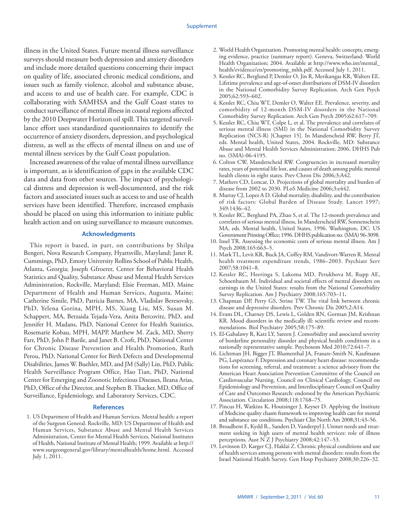<span id="page-12-0"></span>illness in the United States. Future mental illness surveillance surveys should measure both depression and anxiety disorders and include more detailed questions concerning their impact on quality of life, associated chronic medical conditions, and issues such as family violence, alcohol and substance abuse, and access to and use of health care. For example, CDC is collaborating with SAMHSA and the Gulf Coast states to conduct surveillance of mental illness in coastal regions affected by the 2010 Deepwater Horizon oil spill. This targeted surveillance effort uses standardized questionnaires to identify the occurrence of anxiety disorders, depression, and psychological distress, as well as the effects of mental illness on and use of mental illness services by the Gulf Coast population.

Increased awareness of the value of mental illness surveillance is important, as is identification of gaps in the available CDC data and data from other sources. The impact of psychological distress and depression is well-documented, and the risk factors and associated issues such as access to and use of health services have been identified. Therefore, increased emphasis should be placed on using this information to initiate public health action and on using surveillance to measure outcomes.

#### **Acknowledgments**

This report is based, in part, on contributions by Shilpa Bengeri, Nova Research Company, Hyattsville, Maryland; Janet R. Cummings, PhD, Emory University Rollins School of Public Health, Atlanta, Georgia; Joseph Gfroerer, Center for Behavioral Health Statistics and Quality, Substance Abuse and Mental Health Services Administration, Rockville, Maryland; Elsie Freeman, MD, Maine Department of Health and Human Services, Augusta, Maine; Catherine Simile, PhD, Patricia Barnes, MA, Vladislav Beresovsky, PhD, Yelena Gorina, MPH, MS, Xiang Liu, MS, Susan M. Schappert, MA, Betzaida Tejada-Vera, Anita Bercovitz, PhD, and Jennifer H. Madans, PhD, National Center for Health Statistics, Rosemarie Kobau, MPH, MAPP, Matthew M. Zack, MD, Sherry Farr, PhD, John P. Barile, and Janet B. Croft, PhD, National Center for Chronic Disease Prevention and Health Promotion, Ruth Perou, PhD, National Center for Birth Defects and Developmental Disabilities, James W. Buehler, MD, and JM (Sally) Lin, PhD, Public Health Surveillance Program Office, Hao Tian, PhD, National Center for Emerging and Zoonotic Infectious Diseases, Ileana Arias, PhD, Office of the Director, and Stephen B. Thacker, MD, Office of Surveillance, Epidemiology, and Laboratory Services, CDC.

#### **References**

1. US Department of Health and Human Services. Mental health: a report of the Surgeon General. Rockville, MD: US Department of Health and Human Services, Substance Abuse and Mental Health Services Administration, Center for Mental Health Services, National Institutes of Health, National Institute of Mental Health; 1999. Available at [http://](http://www.surgeongeneral.gov/library/mentalhealth/home.html) [www.surgeongeneral.gov/library/mentalhealth/home.html.](http://www.surgeongeneral.gov/library/mentalhealth/home.html) Accessed July 1, 2011.

- 2. World Health Organization. Promoting mental health: concepts, emerging evidence, practice (summary report). Geneva, Switzerland: World Health Organization; 2004. Available at [http://www.who.int/mental\\_](http://www.who.int/mental_health/evidence/en/promoting_mhh.pdf) [health/evidence/en/promoting\\_mhh.pdf](http://www.who.int/mental_health/evidence/en/promoting_mhh.pdf). Accessed July 1, 2011.
- 3. Kessler RC, Berglund P, Demler O, Jin R, Merikangas KR, Walters EE. Lifetime prevalence and age-of-onset distributions of DSM-IV disorders in the National Comorbidity Survey Replication. Arch Gen Psych 2005;62:593–602.
- 4. Kessler RC, Chiu WT, Demler O, Walter EE. Prevalence, severity, and comorbidity of 12-month DSM-IV disorders in the National Comorbidity Survey Replication. Arch Gen Psych 2005;62:617–709.
- 5. Kessler RC, Chiu WT, Colpe L, et al. The prevalence and correlates of serious mental illness (SMI) in the National Comorbidity Survey Replication (NCS-R) [Chapter 15]. In Manderscheid RW, Berry JT, eds. Mental health, United States, 2004. Rockville, MD: Substance Abuse and Mental Health Services Administration; 2006. DHHS Pub no. (SMA)-06-4195.
- 6. Colton CW, Manderscheid RW. Congruencies in increased mortality rates, years of potential life lost, and causes of death among public mental health clients in eight states. Prev Chron Dis 2006*;*3:A42.
- 7. Mathers CD, Loncar, D. Projections of global mortality and burden of disease from 2002 to 2030. PLoS Medicine 2006;3:e442.
- 8. Murray CJ, Lopez A D. Global mortality, disability, and the contribution of risk factors: Global Burden of Disease Study. Lancet 1997; 349:1436–42.
- 9. Kessler RC, Berglund PA, Zhao S, et al. The 12-month prevalence and correlates of serious mental illness, In Manderscheid RW, Sonnenschein MA, eds. Mental health, United States, 1996. Washington, DC: US Government Printing Office; 1996. DHHS publication no. (SMA) 96-3098.
- 10. Insel TR. Assessing the economic costs of serious mental illness. Am J Psych 2008;165:663–5.
- 11. Mark TL, Levit KR, Buck JA, Coffey RM, Vandivort-Warren R. Mental health treatment expenditure trends, 1986–2003. Psychiatr Serv 2007;58:1041–8.
- 12. Kessler RC, Heeringa S, Lakoma MD, Petukhova M, Rupp AE, Schoenbaum M. Individual and societal effects of mental disorders on earnings in the United States: results from the National Comorbidity Survey Replication. Am J Psychiatry 2008;165:703–11**.**
- 13. Chapman DP, Perry GS, Strine TW. The vital link between chronic disease and depressive disorders. Prev Chronic Dis 2005;2:A14.
- 14. Evans DL, Charney DS, Lewis L, Golden RN, Gorman JM, Krishnan KR. Mood disorders in the medically ill: scientific review and recommendations. Biol Psychiatry 2005;58:175–89.
- 15. El-Gabalawy R, Katz LY, Sareen J. Comorbidity and associated severity of borderline personality disorder and physical health conditions in a nationally representative sample. Psychosom Med 2010;72:641–7.
- 16. Lichtman JH, Bigger JT, Blumenthal JA, Frasure-Smith N, Kaufmann PG, Lespérance F. Depression and coronary heart disease: recommendations for screening, referral, and treatment: a science advisory from the American Heart Association Prevention Committee of the Council on Cardiovascular Nursing, Council on Clinical Cardiology, Council on Epidemiology and Prevention, and Interdisciplinary Council on Quality of Care and Outcomes Research: endorsed by the American Psychiatric Association. Circulation 2008;118:1768–75.
- 17. Pincus H, Watkins K, Houtsinger J, Keyser D. Applying the Institute of Medicine quality chasm framework to improving health care for mental and substance use conditions. Psychiatr Clin North Am 2008;31:43–56.
- 18. Broadbent E, Kydd R., Sanders D, Vanderpyl J. Unmet needs and treatment seeking in high users of mental health services: role of illness perceptions. Aust N Z J Psychiatry 2008;42:147-53.
- 19. Levinson D, Karger CJ, Haklai Z. Chronic physical conditions and use of health services among persons with mental disorders: results from the Israel National Health Survey. Gen Hosp Psychiatry 2008;30:226–32.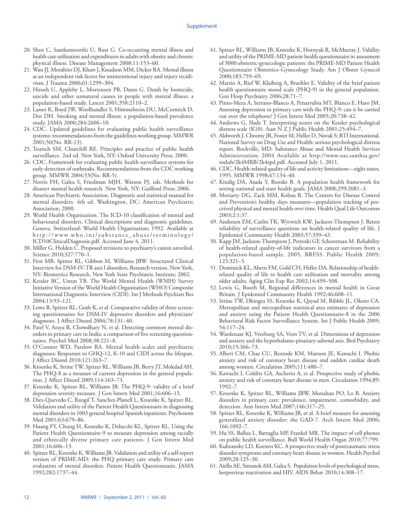- 20. Shen C, Sambamoorthi U, Rust G. Co-occurring mental illness and health care utilization and expenditures in adults with obesity and chronic physical illness. Disease Management 2008;11:153–60.
- 21. Wan JJ, Morabito DJ, Khaw J, Knudson MM, Dicker RA. Mental illness as an independent risk factor for unintentional injury and injury recidivism. J Trauma 2006;61:1299–304.
- 22. Hiroeh U, Appleby L, Mortensen PB, Dunn G. Death by homicide, suicide and other unnatural causes in people with mental illness: a population-based study. Lancet 2001;358:2110–2.
- 23. Lasser K, Boyd JW, Woolhandler S, Himmelstein DU, McCormick D, Dor DH. Smoking and mental illness: a population-based prevalence study. JAMA 2000;284:2606–10.
- 24. CDC. Updated guidelines for evaluating public health surveillance systems: recommendations from the guidelines working group. MMWR 2001;50(No. RR-13).
- 25. Teutsch SM, Churchill RE. Principles and practice of public health surveillance. 2nd ed. New York, NY: Oxford University Press; 2000.
- 26. CDC. Framework for evaluating public health surveillance systems for early detection of outbreaks. Recommendations from the CDC working group. MMWR 2004;53(No. RR-5).
- 27. Norris FH, Galea S, Friedman MJH, Watson PJ, eds. Methods for disaster mental health research. New York, NY: Guilford Press; 2006.
- 28. American Psychiatric Association. Diagnostic and statistical manual for mental disorders. 4th ed. Washington, DC: American Psychiatric Association; 2000.
- 29. World Health Organization. The ICD-10 classification of mental and behavioural disorders. Clinical descriptions and diagnostic guidelines. Geneva, Switzerland: World Health Organization; 1992. Available at [http://www.who.int/substance\\_abuse/terminology/](http://www.who.int/substance_abuse/terminology/ICD10ClinicalDiagnosis.pdf) [ICD10ClinicalDiagnosis.pdf](http://www.who.int/substance_abuse/terminology/ICD10ClinicalDiagnosis.pdf). Accessed June 4, 2011.
- 30. Miller G, Holden C. Proposed revisions to psychiatry's canon unveiled. Science 2010;327:770–1.
- 31. First MB, Spitzer RL, Gibbon M, Williams JBW. Structured Clinical Interview for DSM-IV-TR axis I disorders, Research version. New York, NY: Biometrics Research, New York State Psychiatric Institute; 2002.
- 32. Kessler RC, Ustun TB. The World Mental Health (WMH) Survey Initiative Version of the World Health Organization (WHO) Composite International Diagnostic Interview (CIDI). Int J Methods Psychiatr Res 2004;13:93–121.
- 33. Lowe B, Spitzer RL, Grafe K, et al. Comparative validity of three screening questionnaires for DSM-IV depressive disorders and physicians' diagnoses. J Affect Disord 2004;78:131–40.
- 34. Patel V, Araya R, Chowdhary N, et al. Detecting common mental disorders in primary care in India: a comparison of five screening questionnaires. Psychol Med 2008;38:221–8.
- 35. O'Connor WD, Parslow RA. Mental health scales and psychiatric diagnoses: Responses to GHQ-12, K-10 and CIDI across the lifespan. J Affect Disord 2010;121:263–7.
- 36. Kroenke K, Strine TW, Spitzer RL, Williams JB, Berry JT, Mokdad AH. The PHQ-8 as a measure of current depression in the general population. J Affect Disord 2009;114:163–73.
- 37. Kroenke K, Spitzer RL, Williams JB. The PHQ-9: validity of a brief depression severity measure. J Gen Intern Med 2001;16:606–13.
- 38. Diez-Quevedo C, Rangil T, Sanchez-Planell L, Kroenke K, Spitzer RL. Validation and utility of the Patient Health Questionnaire in diagnosing mental disorders in 1003 general hospital Spanish inpatients. Psychosom Med 2001;63:679–86.
- 39. Huang FY, Chung H, Kroenke K, Delucchi KL, Spitzer RL. Using the Patient Health Questionnaire-9 to measure depression among racially and ethnically diverse primary care patients. J Gen Intern Med 2001;16:606–13.
- 40. Spitzer RL, Kroenke K, Williams JB. Validation and utility of a self-report version of PRIME-MD: the PHQ primary care study. Primary care evaluation of mental disorders. Patient Health Questionnaire. JAMA 1992;282:1737–44.
- 41. Spitzer RL, Williams JB, Kroenke K, Hornyak R, McMurray J. Validity and utility of the PRIME-MD patient health questionnaire in assessment of 3000 obstetric-gynecologic patients: the PRIME-MD Patient Health Questionnaire Obstetrics–Gynecology Study. Am J Obstet Gynecol 2000;183:759–69.
- 42. Martin A, Rief W, Klaiberg A, Braehler E. Validity of the brief patient health questionnaire mood scale (PHQ-9) in the general population. Gen Hosp Psychiatry 2006;28:71–7.
- 43. Pinto-Meza A, Serrano-Blanco A, Penarrubia MT, Blanco E, Haro JM. Assessing depression in primary care with the PHQ-9: can it be carried out over the telephone? J Gen Intern Med 2005;20:738–42.
- 44. Andrews G, Slade T. Interpreting scores on the Kessler psychological distress scale (K10). Aust N Z J Public Health 2001;25:494–7.
- 45. Aldworth J, Chromy JR, Foster M, Heller D, Novak S; RTI International. National Survey on Drug Use and Health: serious psychological distress report. Rockville, MD: Substance Abuse and Mental Health Services Administration; 2004 Available at [http://www.oas.samhsa.gov/](http://www.oas.samhsa.gov/nsduh/2k4MRB/2k4spd.pdf) [nsduh/2k4MRB/2k4spd.pdf](http://www.oas.samhsa.gov/nsduh/2k4MRB/2k4spd.pdf). Accessed July 1, 2011.
- 46. CDC. Health-related quality of life and activity limitations—eight states, 1995. MMWR 1998;47:134–40.
- 47. Kindig DA, Asada Y, Booske B. A population health framework for setting national and state health goals. JAMA 2008;299:2081–3.
- 48. Moriarty DG, Zack MM, Kobau R. The Centers for Disease Control and Prevention's healthy days measures—population tracking of perceived physical and mental health over time. Health Qual Life Outcomes 2003;2:1:37.
- 49. Andresen EM, Catlin TK, Wyrwich KW, Jackson-Thompson J. Retest reliability of surveillance questions on health-related quality of life. J Epidemiol Community Health 2003;57:339–43.
- 50. Kapp JM, Jackson-Thompson J, Petroski GF, Schootman M. Reliability of health-related quality-of-life indicators in cancer survivors from a population-based sample, 2005, BRFSS. Public Health 2009; 123:321–5.
- 51. Dominick KL, Ahern FM, Gold CH, Heller DA. Relationship of healthrelated quality of life to health care utilization and mortality among older adults. Aging Clin Exp Res 2002;14:499–508.
- 52. Lewis G, Booth M, Regional differences in mental health in Great Britain. J Epidemiol Community Health 1992;46:608–11.
- 53. Strine TW, Dhingra SS, Kroenke K, Qayad M, Ribble JL, Okoro CA. Metropolitan and micropolitan statistical area estimates of depression and anxiety using the Patient Health Questionnaire-8 in the 2006 Behavioral Risk Factor Surveillance System. Int J Public Health 2009; 54:117–24.
- 54. Wardenaar KJ, Vreeburg SA, Veen TV, et al. Dimensions of depression and anxiety and the hypothalamo-pituitary-adrenal axis. Biol Psychiatry 2010;15:366–73.
- 55. Albert CM, Chae CU, Rexrode KM, Manson JE, Kawachi I. Phobic anxiety and risk of coronary heart disease and sudden cardiac death among women. Circulation 2005;111:480–7.
- 56. Kawachi I, Colditz GA, Ascherio A, et al. Prospective study of phobic anxiety and risk of coronary heart disease in men. Circulation 1994;89: 1992–7.
- 57. Kroenke K, Spitzer RL, Williams JBW, Monahan PO, Lo B. Anxiety disorders in primary care: prevalence, impairment, comorbidity, and detection. Ann Intern Med 2007;146:317–25.
- 58. Spitzer RL, Kroenke K, Williams JB, et al. A brief measure for assessing generalized anxiety disorder: the GAD-7. Arch Intern Med 2006; 166:1092–7.
- 59. Hu SS, Balluz L, Battaglia MP, Frankel MR. The impact of cell phones on public health surveillance. Bull World Health Organ 2010;77:799.
- 60. Kubzansky LD, Koenen KC. A prospective study of posttraumatic stress disorder symptoms and coronary heart disease in women. Health Psychol 2009;28:125–30.
- 61. Aiello AE, Simanek AM, Galea S. Population levels of psychological stress, herpesvirus reactivation and HIV. AIDS Behav 2010;14:308–17.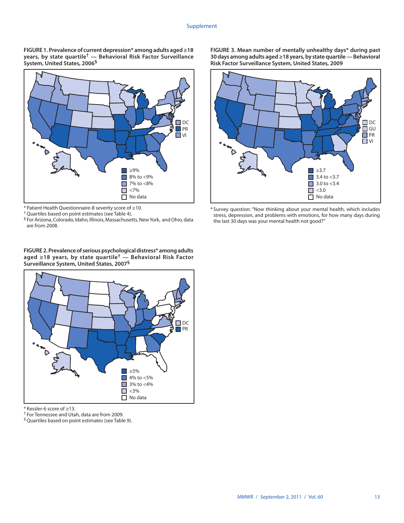**FIGURE 1. Prevalence of current depression\* among adults aged ≥18 years, by state quartile† — Behavioral Risk Factor Surveillance System, United States, 2006§**



\* Patient Health Questionnaire-8 severity score of ≥10.

†Quartiles based on point estimates (see Table 4).

§ For Arizona, Colorado, Idaho, Illinois, Massachusetts, New York, and Ohio, data are from 2008.

**FIGURE 2. Prevalence of serious psychological distress\* among adults aged ≥18 years, by state quartile† — Behavioral Risk Factor Surveillance System, United States, 2007§**



\* Kessler-6 score of ≥13.

† For Tennessee and Utah, data are from 2009.

§Quartiles based on point estimates (see Table 9).

**FIGURE 3. Mean number of mentally unhealthy days\* during past 30 days among adults aged ≥18 years, by state quartile — Behavioral Risk Factor Surveillance System, United States, 2009**



\* Survey question: "Now thinking about your mental health, which includes stress, depression, and problems with emotions, for how many days during the last 30 days was your mental health not good?"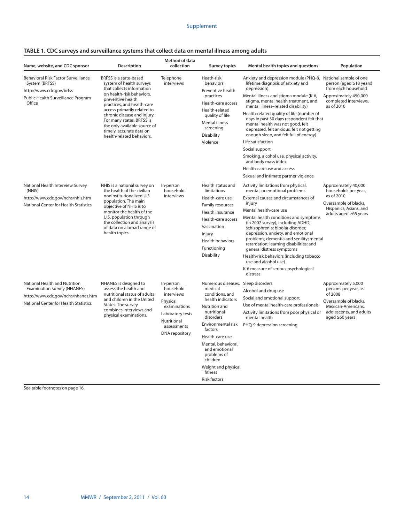## **TABLE 1. CDC surveys and surveillance systems that collect data on mental illness among adults**

| Name, website, and CDC sponsor                                                                                                                     | <b>Description</b>                                                                                                                                                                                                                                                                                                                                  | Method of data<br>collection                                                                                                         | <b>Survey topics</b>                                                                                                                                                                                                                                                                                               | Mental health topics and questions                                                                                                                                                                                                                                                                                                                                                                                                                                                                                                                                                                                     | Population                                                                                                                                               |
|----------------------------------------------------------------------------------------------------------------------------------------------------|-----------------------------------------------------------------------------------------------------------------------------------------------------------------------------------------------------------------------------------------------------------------------------------------------------------------------------------------------------|--------------------------------------------------------------------------------------------------------------------------------------|--------------------------------------------------------------------------------------------------------------------------------------------------------------------------------------------------------------------------------------------------------------------------------------------------------------------|------------------------------------------------------------------------------------------------------------------------------------------------------------------------------------------------------------------------------------------------------------------------------------------------------------------------------------------------------------------------------------------------------------------------------------------------------------------------------------------------------------------------------------------------------------------------------------------------------------------------|----------------------------------------------------------------------------------------------------------------------------------------------------------|
| Behavioral Risk Factor Surveillance<br>System (BRFSS)<br>http://www.cdc.gov/brfss<br>Public Health Surveillance Program<br>Office                  | BRFSS is a state-based<br>system of health surveys<br>that collects information<br>on health-risk behaviors,<br>preventive health<br>practices, and health-care<br>access primarily related to<br>chronic disease and injury.<br>For many states, BRFSS is<br>the only available source of<br>timely, accurate data on<br>health-related behaviors. | Telephone<br>interviews                                                                                                              | Heath-risk<br>behaviors<br>Preventive health<br>practices<br>Health-care access<br>Health-related<br>quality of life<br>Mental illness<br>screening<br><b>Disability</b><br>Violence                                                                                                                               | Anxiety and depression module (PHQ-8,<br>lifetime diagnosis of anxiety and<br>depression)<br>Mental illness and stigma module (K-6,<br>stigma, mental health treatment, and<br>mental illness-related disability)<br>Health-related quality of life (number of<br>days in past 30 days respondent felt that<br>mental health was not good, felt<br>depressed, felt anxious, felt not getting<br>enough sleep, and felt full of energy)<br>Life satisfaction<br>Social support<br>Smoking, alcohol use, physical activity,<br>and body mass index<br>Health-care use and access<br>Sexual and intimate partner violence | National sample of one<br>person (aged ≥18 years)<br>from each household<br>Approximately 450,000<br>completed interviews,<br>as of 2010                 |
| National Health Interview Survey<br>(NHIS)<br>http://www.cdc.gov/nchs/nhis.htm<br>National Center for Health Statistics                            | NHIS is a national survey on<br>the health of the civilian<br>noninstitutionalized U.S.<br>population. The main<br>objective of NHIS is to<br>monitor the health of the<br>U.S. population through<br>the collection and analysis<br>of data on a broad range of<br>health topics.                                                                  | In-person<br>household<br>interviews                                                                                                 | Health status and<br>limitations<br>Health-care use<br>Family resources<br>Health insurance<br>Health-care access<br>Vaccination<br>Injury<br><b>Health behaviors</b><br>Functioning<br>Disability                                                                                                                 | Activity limitations from physical,<br>mental, or emotional problems<br>External causes and circumstances of<br>injury<br>Mental health-care use<br>Mental health conditions and symptoms<br>(in 2007 survey), including ADHD;<br>schizophrenia; bipolar disorder;<br>depression, anxiety, and emotional<br>problems; dementia and senility; mental<br>retardation; learning disabilities; and<br>general distress symptoms<br>Health-risk behaviors (including tobacco<br>use and alcohol use)<br>K-6 measure of serious psychological<br>distress                                                                    | Approximately 40,000<br>households per year,<br>as of 2010<br>Oversample of blacks,<br>Hispanics, Asians, and<br>adults aged ≥65 years                   |
| National Health and Nutrition<br><b>Examination Survey (NHANES)</b><br>http://www.cdc.gov/nchs/nhanes.htm<br>National Center for Health Statistics | NHANES is designed to<br>assess the health and<br>nutritional status of adults<br>and children in the United<br>States. The survey<br>combines interviews and<br>physical examinations.                                                                                                                                                             | In-person<br>household<br>interviews<br>Physical<br>examinations<br>Laboratory tests<br>Nutritional<br>assessments<br>DNA repository | Numerous diseases, Sleep disorders<br>medical<br>conditions, and<br>health indicators<br>Nutrition and<br>nutritional<br>disorders<br>Environmental risk<br>factors<br>Health-care use<br>Mental, behavioral,<br>and emotional<br>problems of<br>children<br>Weight and physical<br>fitness<br><b>Risk factors</b> | Alcohol and drug use<br>Social and emotional support<br>Use of mental health-care professionals<br>Activity limitations from poor physical or<br>mental health<br>PHQ-9 depression screening                                                                                                                                                                                                                                                                                                                                                                                                                           | Approximately 5,000<br>persons per year, as<br>of 2008<br>Oversample of blacks,<br>Mexican-Americans,<br>adolescents, and adults<br>aged $\geq 60$ years |

See table footnotes on page 16.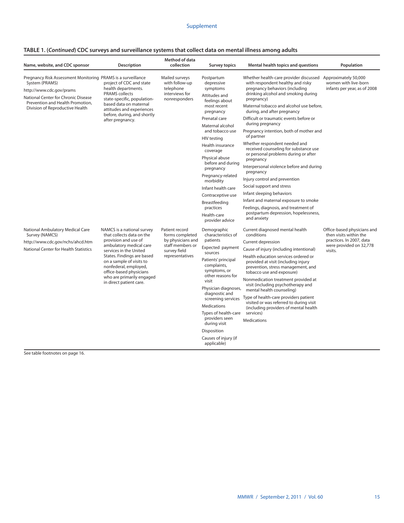| TABLE 1. (Continued) CDC surveys and surveillance systems that collect data on mental illness among adults |  |  |
|------------------------------------------------------------------------------------------------------------|--|--|
|------------------------------------------------------------------------------------------------------------|--|--|

| Name, website, and CDC sponsor                                                                                                                           | <b>Description</b>                                                                                                                                                                                                                                                                                                                                                                                                                                                                                                                                                                                                                                                         | Method of data<br>collection                                                                                  | <b>Survey topics</b>                                                                                                                                                                                                                                                                                                                                                   | Mental health topics and questions                                                                                                                                                                                                                                                                                                                                                                                                                                                                                                               | Population                                                                                                              |
|----------------------------------------------------------------------------------------------------------------------------------------------------------|----------------------------------------------------------------------------------------------------------------------------------------------------------------------------------------------------------------------------------------------------------------------------------------------------------------------------------------------------------------------------------------------------------------------------------------------------------------------------------------------------------------------------------------------------------------------------------------------------------------------------------------------------------------------------|---------------------------------------------------------------------------------------------------------------|------------------------------------------------------------------------------------------------------------------------------------------------------------------------------------------------------------------------------------------------------------------------------------------------------------------------------------------------------------------------|--------------------------------------------------------------------------------------------------------------------------------------------------------------------------------------------------------------------------------------------------------------------------------------------------------------------------------------------------------------------------------------------------------------------------------------------------------------------------------------------------------------------------------------------------|-------------------------------------------------------------------------------------------------------------------------|
| System (PRAMS)<br>http://www.cdc.gov/prams<br>National Center for Chronic Disease<br>Prevention and Health Promotion,<br>Division of Reproductive Health | Pregnancy Risk Assessment Monitoring PRAMS is a surveillance<br>Mailed surveys<br>Postpartum<br>Whether health-care provider discussed<br>project of CDC and state<br>with follow-up<br>depressive<br>with respondent healthy and risky<br>health departments.<br>telephone<br>symptoms<br>pregnancy behaviors (including<br><b>PRAMS</b> collects<br>interviews for<br>drinking alcohol and smoking during<br>Attitudes and<br>state-specific, population-<br>nonresponders<br>pregnancy)<br>feelings about<br>based data on maternal<br>most recent<br>Maternal tobacco and alcohol use before,<br>attitudes and experiences<br>during, and after pregnancy<br>pregnancy |                                                                                                               | Approximately 50,000<br>women with live-born<br>infants per year, as of 2008                                                                                                                                                                                                                                                                                           |                                                                                                                                                                                                                                                                                                                                                                                                                                                                                                                                                  |                                                                                                                         |
|                                                                                                                                                          | before, during, and shortly<br>after pregnancy.                                                                                                                                                                                                                                                                                                                                                                                                                                                                                                                                                                                                                            |                                                                                                               | Prenatal care<br>Maternal alcohol<br>and tobacco use<br><b>HIV</b> testing<br>Health insurance<br>coverage<br>Physical abuse<br>before and during<br>pregnancy<br>Pregnancy-related<br>morbidity<br>Infant health care<br>Contraceptive use<br>Breastfeeding<br>practices<br>Health-care<br>provider advice                                                            | Difficult or traumatic events before or<br>during pregnancy<br>Pregnancy intention, both of mother and<br>of partner<br>Whether respondent needed and<br>received counseling for substance use<br>or personal problems during or after<br>pregnancy<br>Interpersonal violence before and during<br>pregnancy<br>Injury control and prevention<br>Social support and stress<br>Infant sleeping behaviors<br>Infant and maternal exposure to smoke<br>Feelings, diagnosis, and treatment of<br>postpartum depression, hopelessness,<br>and anxiety |                                                                                                                         |
| National Ambulatory Medical Care<br>Survey (NAMCS)<br>http://www.cdc.gov/nchs/ahcd.htm<br><b>National Center for Health Statistics</b>                   | NAMCS is a national survey<br>that collects data on the<br>provision and use of<br>ambulatory medical care<br>services in the United<br>States. Findings are based<br>on a sample of visits to<br>nonfederal, employed,<br>office-based physicians<br>who are primarily engaged<br>in direct patient care.                                                                                                                                                                                                                                                                                                                                                                 | Patient record<br>forms completed<br>by physicians and<br>staff members or<br>survey field<br>representatives | Demographic<br>characteristics of<br>patients<br>Expected payment<br>sources<br>Patients' principal<br>complaints,<br>symptoms, or<br>other reasons for<br>visit<br>Physician diagnoses,<br>diagnostic and<br>screening services<br><b>Medications</b><br>Types of health-care<br>providers seen<br>during visit<br>Disposition<br>Causes of injury (if<br>applicable) | Current diagnosed mental health<br>conditions<br>Current depression<br>Cause of injury (including intentional)<br>Health education services ordered or<br>provided at visit (including injury<br>prevention, stress management, and<br>tobacco use and exposure)<br>Nonmedication treatment provided at<br>visit (including psychotherapy and<br>mental health counseling)<br>Type of health-care providers patient<br>visited or was referred to during visit<br>(including providers of mental health<br>services)<br><b>Medications</b>       | Office-based physicians and<br>then visits within the<br>practices. In 2007, data<br>were provided on 32,778<br>visits. |

See table footnotes on page 16.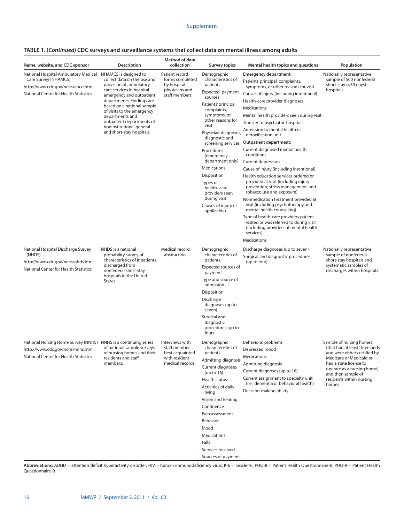| TABLE 1. (Continued) CDC surveys and surveillance systems that collect data on mental illness among adults |  |  |  |  |
|------------------------------------------------------------------------------------------------------------|--|--|--|--|
|------------------------------------------------------------------------------------------------------------|--|--|--|--|

| Name, website, and CDC sponsor                                                                                                               | Description                                                                                                                                                                                                                                                                                                                                | Method of data<br>collection                                                           | Survey topics                                                                                                                                                                                                                                                                                                                                                                                                      | Mental health topics and questions                                                                                                                                                                                                                                                                                                                                                                                                                                                                                                                                                                                                                                                                                                                                                                                                                                                                                           | Population                                                                                                                                                                                                                             |
|----------------------------------------------------------------------------------------------------------------------------------------------|--------------------------------------------------------------------------------------------------------------------------------------------------------------------------------------------------------------------------------------------------------------------------------------------------------------------------------------------|----------------------------------------------------------------------------------------|--------------------------------------------------------------------------------------------------------------------------------------------------------------------------------------------------------------------------------------------------------------------------------------------------------------------------------------------------------------------------------------------------------------------|------------------------------------------------------------------------------------------------------------------------------------------------------------------------------------------------------------------------------------------------------------------------------------------------------------------------------------------------------------------------------------------------------------------------------------------------------------------------------------------------------------------------------------------------------------------------------------------------------------------------------------------------------------------------------------------------------------------------------------------------------------------------------------------------------------------------------------------------------------------------------------------------------------------------------|----------------------------------------------------------------------------------------------------------------------------------------------------------------------------------------------------------------------------------------|
| National Hospital Ambulatory Medical<br>Care Survey (NHAMCS)<br>http://www.cdc.gov/nchs/ahcd.htm<br>National Center for Health Statistics    | NHAMCS is designed to<br>collect data on the use and<br>provision of ambulatory<br>care services in hospital<br>emergency and outpatient<br>departments. Findings are<br>based on a national sample<br>of visits to the emergency<br>departments and<br>outpatient departments of<br>noninstitutional general<br>and short-stay hospitals. | Patient record<br>forms completed<br>by hospital<br>physicians and<br>staff members    | Demographic<br>characteristics of<br>patients<br>Expected payment<br>sources<br>Patients' principal<br>complaints,<br>symptoms, or<br>other reasons for<br>visit<br>Physician diagnoses,<br>diagnostic and<br>screening services<br>Procedures<br>(emergency<br>department only)<br>Medications<br>Disposition<br>Types of<br>health-care<br>providers seen<br>during visit<br>Causes of injury (if<br>applicable) | <b>Emergency department:</b><br>Patients' principal complaints,<br>symptoms, or other reasons for visit<br>Causes of injury (including intentional)<br>Health-care provider diagnoses<br>Medications<br>Mental health providers seen during visit<br>Transfer to psychiatric hospital<br>Admission to mental health or<br>detoxification unit<br><b>Outpatient department:</b><br>Current diagnosed mental health<br>conditions<br>Current depression<br>Cause of injury (including intentional)<br>Health education services ordered or<br>provided at visit (including injury<br>prevention, stress management, and<br>tobacco use and exposure)<br>Nonmedication treatment provided at<br>visit (including psychotherapy and<br>mental health counseling)<br>Type of health-care providers patient<br>visited or was referred to during visit<br>(including providers of mental health<br>services)<br><b>Medications</b> | Nationally representative<br>sample of 500 nonfederal<br>short-stay (<30 days)<br>hospitals                                                                                                                                            |
| National Hospital Discharge Survey<br>(NHDS)<br>http://www.cdc.gov/nchs/nhds.htm<br>National Center for Health Statistics                    | NHDS is a national<br>probability survey of<br>characteristics of inpatients<br>discharged from<br>nonfederal short-stay<br>hospitals in the United<br>States.                                                                                                                                                                             | Medical record<br>abstraction                                                          | Demographic<br>characteristics of<br>patients<br>Expected sources of<br>payment<br>Type and source of<br>admission<br>Disposition<br>Discharge<br>diagnoses (up to<br>seven)<br>Surgical and<br>diagnostic<br>procedures (up to<br>four)                                                                                                                                                                           | Discharge diagnoses (up to seven)<br>Surgical and diagnostic procedures<br>(up to four)                                                                                                                                                                                                                                                                                                                                                                                                                                                                                                                                                                                                                                                                                                                                                                                                                                      | Nationally representative<br>sample of nonfederal<br>short-stay hospitals and<br>systematic samples of<br>discharges within hospitals                                                                                                  |
| National Nursing Home Survey (NNHS) NNHS is a continuing series<br>http://www.cdc.gov/nchs/nnhs.htm<br>National Center for Health Statistics | of national sample surveys<br>of nursing homes and their<br>residents and staff<br>members.                                                                                                                                                                                                                                                | Interviews with<br>staff member<br>best acquainted<br>with resident<br>medical records | Demographic<br>characteristics of<br>patients<br>Admitting diagnosis<br>Current diagnoses<br>(up to 16)<br>Health status<br>Activities of daily<br>living<br>Vision and hearing<br>Continence<br>Pain assessment<br>Behavior<br>Mood<br>Medications<br>Falls<br>Services received<br>Sources of payment                                                                                                            | <b>Behavioral problems</b><br>Depressed mood<br><b>Medications</b><br>Admitting diagnosis<br>Current diagnoses (up to 16)<br>Current assignment to specialty unit<br>(i.e., dementia or behavioral health)<br>Decision-making ability                                                                                                                                                                                                                                                                                                                                                                                                                                                                                                                                                                                                                                                                                        | Sample of nursing homes<br>(that had at least three beds<br>and were either certified by<br>Medicare or Medicaid or<br>had a state license to<br>operate as a nursing home)<br>and then sample of<br>residents within nursing<br>homes |

**Abbreviations:** ADHD = attention deficit hyperactivity disorder; HIV = human immunodeficiency virus; K-6 = Kessler-6; PHQ-8 = Patient Health Questionnaire-8; PHQ-9 = Patient Health Questionnaire-9.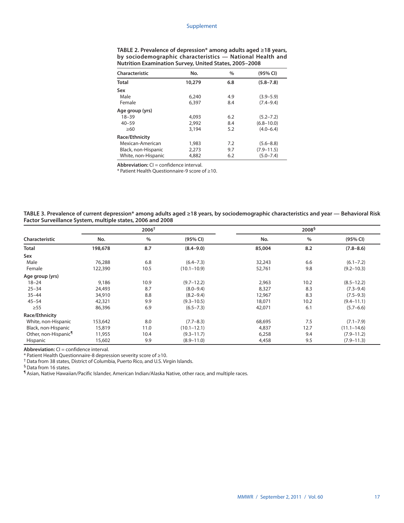| Characteristic      | No.    | $\%$ | (95% CI)       |
|---------------------|--------|------|----------------|
| Total               | 10,279 | 6.8  | $(5.8 - 7.8)$  |
| Sex                 |        |      |                |
| Male                | 6.240  | 4.9  | $(3.9 - 5.9)$  |
| Female              | 6,397  | 8.4  | $(7.4 - 9.4)$  |
| Age group (yrs)     |        |      |                |
| $18 - 39$           | 4,093  | 6.2  | $(5.2 - 7.2)$  |
| $40 - 59$           | 2,992  | 8.4  | $(6.8 - 10.0)$ |
| $\geq 60$           | 3,194  | 5.2  | $(4.0 - 6.4)$  |
| Race/Ethnicity      |        |      |                |
| Mexican-American    | 1,983  | 7.2  | $(5.6 - 8.8)$  |
| Black, non-Hispanic | 2,273  | 9.7  | $(7.9 - 11.5)$ |
| White, non-Hispanic | 4,882  | 6.2  | $(5.0 - 7.4)$  |

**TABLE 2. Prevalence of depression\* among adults aged ≥18 years, by sociodemographic characteristics — National Health and Nutrition Examination Survey, United States, 2005–2008**

**Abbreviation:** CI = confidence interval.

\* Patient Health Questionnaire-9 score of ≥10.

**TABLE 3. Prevalence of current depression\* among adults aged ≥18 years, by sociodemographic characteristics and year — Behavioral Risk Factor Surveillance System, multiple states, 2006 and 2008**

|                                  |         | 2006 <sup>†</sup> |                 |        | 2008 <sup>§</sup> |                 |
|----------------------------------|---------|-------------------|-----------------|--------|-------------------|-----------------|
| Characteristic                   | No.     | %                 | (95% CI)        | No.    | $\%$              | (95% CI)        |
| <b>Total</b>                     | 198,678 | 8.7               | $(8.4 - 9.0)$   | 85,004 | 8.2               | $(7.8 - 8.6)$   |
| Sex                              |         |                   |                 |        |                   |                 |
| Male                             | 76,288  | 6.8               | $(6.4 - 7.3)$   | 32,243 | 6.6               | $(6.1 - 7.2)$   |
| Female                           | 122,390 | 10.5              | $(10.1 - 10.9)$ | 52,761 | 9.8               | $(9.2 - 10.3)$  |
| Age group (yrs)                  |         |                   |                 |        |                   |                 |
| $18 - 24$                        | 9,186   | 10.9              | $(9.7 - 12.2)$  | 2,963  | 10.2              | $(8.5 - 12.2)$  |
| $25 - 34$                        | 24,493  | 8.7               | $(8.0 - 9.4)$   | 8,327  | 8.3               | $(7.3 - 9.4)$   |
| $35 - 44$                        | 34,910  | 8.8               | $(8.2 - 9.4)$   | 12,967 | 8.3               | $(7.5 - 9.3)$   |
| $45 - 54$                        | 42,321  | 9.9               | $(9.3 - 10.5)$  | 18,071 | 10.2              | $(9.4 - 11.1)$  |
| $\geq$ 55                        | 86,396  | 6.9               | $(6.5 - 7.3)$   | 42,071 | 6.1               | $(5.7 - 6.6)$   |
| Race/Ethnicity                   |         |                   |                 |        |                   |                 |
| White, non-Hispanic              | 153,642 | 8.0               | $(7.7 - 8.3)$   | 68,695 | 7.5               | $(7.1 - 7.9)$   |
| Black, non-Hispanic              | 15,819  | 11.0              | $(10.1 - 12.1)$ | 4,837  | 12.7              | $(11.1 - 14.6)$ |
| Other, non-Hispanic <sup>¶</sup> | 11,955  | 10.4              | $(9.3 - 11.7)$  | 6,258  | 9.4               | $(7.9 - 11.2)$  |
| Hispanic                         | 15,602  | 9.9               | $(8.9 - 11.0)$  | 4,458  | 9.5               | $(7.9 - 11.3)$  |

Abbreviation: CI = confidence interval.

\* Patient Health Questionnaire-8 depression severity score of ≥10.

† Data from 38 states, District of Columbia, Puerto Rico, and U.S. Virgin Islands.

§Data from 16 states.

¶ Asian, Native Hawaiian/Pacific Islander, American Indian/Alaska Native, other race, and multiple races.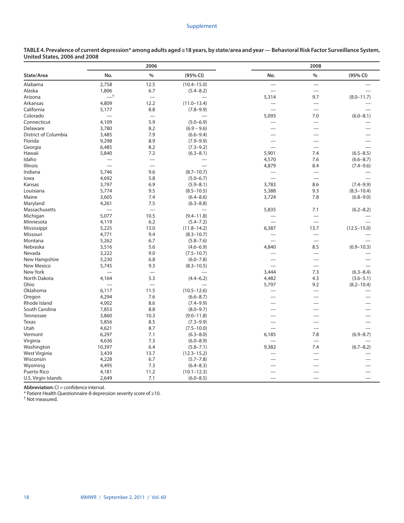|                      |                          | 2006                     |                 |                          | 2008                     |                 |
|----------------------|--------------------------|--------------------------|-----------------|--------------------------|--------------------------|-----------------|
| State/Area           | No.                      | $\%$                     | (95% CI)        | No.                      | $\frac{1}{2}$            | (95% CI)        |
| Alabama              | 2,758                    | 12.5                     | $(10.4 - 15.0)$ | $\overline{\phantom{0}}$ | $\overline{\phantom{0}}$ |                 |
| Alaska               | 1,806                    | 6.7                      | $(5.4 - 8.2)$   |                          | $\overline{\phantom{0}}$ |                 |
| Arizona              | $-^{\dagger}$            |                          |                 | 5,314                    | 9.7                      | $(8.0 - 11.7)$  |
| Arkansas             | 4,809                    | 12.2                     | $(11.0 - 13.4)$ |                          |                          |                 |
| California           | 5,177                    | 8.8                      | $(7.8 - 9.9)$   |                          |                          |                 |
| Colorado             |                          |                          |                 | 5,093                    | 7.0                      | $(6.0 - 8.1)$   |
| Connecticut          | 4,109                    | 5.9                      | $(5.0 - 6.9)$   |                          |                          |                 |
| Delaware             | 3,780                    | 8.2                      | $(6.9 - 9.6)$   |                          | $\overline{\phantom{0}}$ |                 |
| District of Columbia | 3,485                    | 7.9                      | $(6.6 - 9.4)$   |                          |                          |                 |
| Florida              | 9,298                    | 8.9                      | $(7.9 - 9.9)$   |                          |                          |                 |
| Georgia              | 6,485                    | 8.2                      | $(7.3 - 9.2)$   |                          |                          |                 |
| Hawaii               | 5,840                    | 7.2                      | $(6.3 - 8.1)$   | 5,901                    | 7.4                      | $(6.5 - 8.5)$   |
| Idaho                |                          |                          |                 | 4,570                    | 7.6                      | $(6.6 - 8.7)$   |
| <b>Illinois</b>      | $\overline{\phantom{a}}$ |                          |                 | 4,879                    | 8.4                      | $(7.4 - 9.6)$   |
| Indiana              | 5,746                    | 9.6                      | $(8.7 - 10.7)$  |                          |                          |                 |
| lowa                 | 4,692                    | 5.8                      | $(5.0 - 6.7)$   |                          |                          |                 |
| Kansas               | 3,797                    | 6.9                      | $(5.9 - 8.1)$   | 3,783                    | 8.6                      | $(7.4 - 9.9)$   |
| Louisiana            | 5,774                    | 9.5                      | $(8.5 - 10.5)$  | 5,388                    | 9.3                      | $(8.3 - 10.4)$  |
| Maine                | 3,605                    | 7.4                      | $(6.4 - 8.6)$   | 3,724                    | 7.8                      | $(6.8 - 9.0)$   |
| Maryland             | 4,261                    | 7.5                      | $(6.3 - 8.8)$   |                          |                          |                 |
| Massachusetts        |                          | $\overline{\phantom{0}}$ |                 | 5,835                    | 7.1                      | $(6.2 - 8.2)$   |
| Michigan             | 5,077                    | 10.5                     | $(9.4 - 11.8)$  |                          | $\equiv$                 |                 |
| Minnesota            | 4,119                    | 6.2                      | $(5.4 - 7.2)$   | ÷,                       | $\equiv$                 |                 |
| Mississippi          | 5,225                    | 13.0                     | $(11.8 - 14.2)$ | 6,387                    | 13.7                     | $(12.5 - 15.0)$ |
| Missouri             | 4,771                    | 9.4                      | $(8.3 - 10.7)$  |                          | $\overline{\phantom{0}}$ |                 |
| Montana              | 5,262                    | 6.7                      | $(5.8 - 7.6)$   |                          | $\overline{\phantom{0}}$ |                 |
| Nebraska             | 3,516                    | 5.6                      | $(4.6 - 6.9)$   | 4,840                    | 8.5                      | $(6.9 - 10.3)$  |
| Nevada               | 3,222                    | 9.0                      | $(7.5 - 10.7)$  |                          | $\overline{\phantom{0}}$ |                 |
| New Hampshire        | 5,230                    | 6.8                      | $(6.0 - 7.8)$   |                          |                          |                 |
| <b>New Mexico</b>    | 5,745                    | 9.3                      | $(8.3 - 10.5)$  |                          | $\overline{\phantom{0}}$ |                 |
| <b>New York</b>      |                          |                          |                 | 3,444                    | 7.3                      | $(6.3 - 8.4)$   |
| North Dakota         | 4,164                    | 5.3                      | $(4.4 - 6.2)$   | 4,482                    | 4.3                      | $(3.6 - 5.1)$   |
| Ohio                 | $\frac{1}{2}$            |                          |                 | 5,797                    | 9.2                      | $(8.2 - 10.4)$  |
| Oklahoma             | 6,117                    | 11.5                     | $(10.5 - 12.6)$ |                          | $\overline{\phantom{0}}$ |                 |
| Oregon               | 4,294                    | 7.6                      | $(6.6 - 8.7)$   |                          | $\overline{\phantom{0}}$ |                 |
| Rhode Island         | 4,002                    | 8.6                      | $(7.4 - 9.9)$   |                          | $\overline{\phantom{0}}$ |                 |
| South Carolina       | 7,853                    | 8.8                      | $(8.0 - 9.7)$   |                          |                          |                 |
| Tennessee            | 3,860                    | 10.3                     |                 |                          |                          |                 |
| <b>Texas</b>         |                          | 8.5                      | $(9.0 - 11.8)$  |                          |                          |                 |
|                      | 5,856                    |                          | $(7.3 - 9.9)$   |                          |                          |                 |
| Utah                 | 4,621                    | 8.7                      | $(7.5 - 10.0)$  |                          | $\overline{\phantom{0}}$ |                 |
| Vermont              | 6,297                    | 7.1                      | $(6.3 - 8.0)$   | 6,185                    | 7.8                      | $(6.9 - 8.7)$   |
| Virginia             | 4,636                    | 7.3                      | $(6.0 - 8.9)$   |                          |                          |                 |
| Washington           | 10,397                   | 6.4                      | $(5.8 - 7.1)$   | 9,382                    | 7.4                      | $(6.7 - 8.2)$   |
| West Virginia        | 3,439                    | 13.7                     | $(12.3 - 15.2)$ |                          | $\overline{\phantom{0}}$ |                 |
| Wisconsin            | 4,228                    | 6.7                      | $(5.7 - 7.8)$   |                          |                          |                 |
| Wyoming              | 4,495                    | 7.3                      | $(6.4 - 8.3)$   |                          |                          |                 |
| Puerto Rico          | 4,181                    | 11.2                     | $(10.1 - 12.3)$ |                          |                          |                 |
| U.S. Virgin Islands  | 2,649                    | 7.1                      | $(6.0 - 8.5)$   |                          |                          |                 |

**TABLE 4. Prevalence of current depression\* among adults aged ≥18 years, by state/area and year — Behavioral Risk Factor Surveillance System, United States, 2006 and 2008**

**Abbreviation:** CI = confidence interval.

\* Patient Health Questionnaire-8 depression severity score of ≥10.

† Not measured.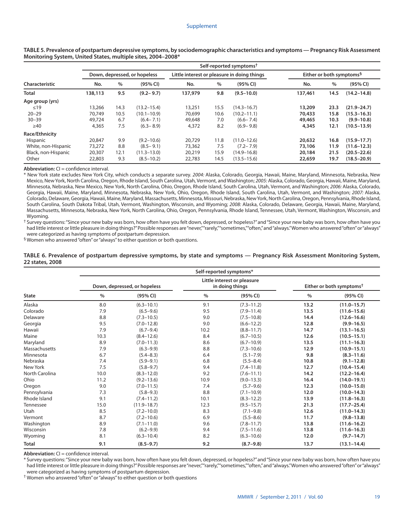|                     | Self-reported symptoms <sup>†</sup> |      |                              |         |      |                                             |         |      |                                      |
|---------------------|-------------------------------------|------|------------------------------|---------|------|---------------------------------------------|---------|------|--------------------------------------|
|                     |                                     |      | Down, depressed, or hopeless |         |      | Little interest or pleasure in doing things |         |      | Either or both symptoms <sup>9</sup> |
| Characteristic      | No.                                 | $\%$ | (95% CI)                     | No.     | $\%$ | (95% CI)                                    | No.     | $\%$ | (95% CI)                             |
| Total               | 138,113                             | 9.5  | $(9.2 - 9.7)$                | 137,979 | 9.8  | $(9.5 - 10.0)$                              | 137,461 | 14.5 | $(14.2 - 14.8)$                      |
| Age group (yrs)     |                                     |      |                              |         |      |                                             |         |      |                                      |
| $\leq 19$           | 13,266                              | 14.3 | $(13.2 - 15.4)$              | 13,251  | 15.5 | $(14.3 - 16.7)$                             | 13,209  | 23.3 | $(21.9 - 24.7)$                      |
| $20 - 29$           | 70,749                              | 10.5 | $(10.1 - 10.9)$              | 70,699  | 10.6 | $(10.2 - 11.1)$                             | 70,433  | 15.8 | $(15.3 - 16.3)$                      |
| $30 - 39$           | 49,724                              | 6.7  | $(6.4 - 7.1)$                | 49,648  | 7.0  | $(6.6 - 7.4)$                               | 49,465  | 10.3 | $(9.9 - 10.8)$                       |
| $\geq 40$           | 4,365                               | 7.5  | $(6.3 - 8.9)$                | 4,372   | 8.2  | $(6.9 - 9.8)$                               | 4,345   | 12.1 | $(10.5 - 13.9)$                      |
| Race/Ethnicity      |                                     |      |                              |         |      |                                             |         |      |                                      |
| Hispanic            | 20,847                              | 9.9  | $(9.2 - 10.6)$               | 20,729  | 11.8 | $(11.0 - 12.6)$                             | 20,632  | 16.8 | $(15.9 - 17.7)$                      |
| White, non-Hispanic | 73,272                              | 8.8  | $(8.5 - 9.1)$                | 73,362  | 7.5  | $(7.2 - 7.9)$                               | 73,106  | 11.9 | $(11.6 - 12.3)$                      |
| Black, non-Hispanic | 20,307                              | 12.1 | $(11.3 - 13.0)$              | 20,219  | 15.9 | $(14.9 - 16.8)$                             | 20,184  | 21.5 | $(20.5 - 22.6)$                      |
| Other               | 22,803                              | 9.3  | $(8.5 - 10.2)$               | 22,783  | 14.5 | $(13.5 - 15.6)$                             | 22,659  | 19.7 | $(18.5 - 20.9)$                      |

**TABLE 5. Prevalence of postpartum depressive symptoms, by sociodemographic characteristics and symptoms — Pregnancy Risk Assessment Monitoring System, United States, multiple sites, 2004–2008\***

**Abbreviation:** CI = confidence interval.

\* New York state excludes New York City, which conducts a separate survey. *2004:* Alaska, Colorado, Georgia, Hawaii, Maine, Maryland, Minnesota, Nebraska, New Mexico, New York, North Carolina, Oregon, Rhode Island, South Carolina, Utah, Vermont, and Washington; *2005:* Alaska, Colorado, Georgia, Hawaii, Maine, Maryland, Minnesota, Nebraska, New Mexico, New York, North Carolina, Ohio, Oregon, Rhode Island, South Carolina, Utah, Vermont, and Washington; *2006:* Alaska, Colorado, Georgia, Hawaii, Maine, Maryland, Minnesota, Nebraska, New York, Ohio, Oregon, Rhode Island, South Carolina, Utah, Vermont, and Washington; *2007:* Alaska, Colorado, Delaware, Georgia, Hawaii, Maine, Maryland, Massachusetts, Minnesota, Missouri, Nebraska, New York, North Carolina, Oregon, Pennsylvania, Rhode Island, South Carolina, South Dakota Tribal, Utah, Vermont, Washington, Wisconsin, and Wyoming; *2008:* Alaska, Colorado, Delaware, Georgia, Hawaii, Maine, Maryland, Massachusetts, Minnesota, Nebraska, New York, North Carolina, Ohio, Oregon, Pennsylvania, Rhode Island, Tennessee, Utah, Vermont, Washington, Wisconsin, and Wyoming.

† Survey questions: "Since your new baby was born, how often have you felt down, depressed, or hopeless?" and "Since your new baby was born, how often have you had little interest or little pleasure in doing things?" Possible responses are "never," "rarely," sometimes," often," and "always." Women who answered "often" or "always" were categorized as having symptoms of postpartum depression.

§ Women who answered "often" or "always" to either question or both questions.

#### **TABLE 6. Prevalence of postpartum depressive symptoms, by state and symptoms — Pregnancy Risk Assessment Monitoring System, 22 states, 2008**

|                       |      |                              |      | Self-reported symptoms*                        |      |                                      |
|-----------------------|------|------------------------------|------|------------------------------------------------|------|--------------------------------------|
|                       |      | Down, depressed, or hopeless |      | Little interest or pleasure<br>in doing things |      | Either or both symptoms <sup>†</sup> |
| State                 | $\%$ | (95% CI)                     | $\%$ | (95% CI)                                       | $\%$ | (95% CI)                             |
| Alaska                | 8.0  | $(6.3 - 10.1)$               | 9.1  | $(7.3 - 11.2)$                                 | 13.2 | $(11.0 - 15.7)$                      |
| Colorado              | 7.9  | $(6.5 - 9.6)$                | 9.5  | $(7.9 - 11.4)$                                 | 13.5 | $(11.6 - 15.6)$                      |
| Delaware              | 8.8  | $(7.3 - 10.5)$               | 9.0  | $(7.5 - 10.8)$                                 | 14.4 | $(12.6 - 16.6)$                      |
| Georgia               | 9.5  | $(7.0 - 12.8)$               | 9.0  | $(6.6 - 12.2)$                                 | 12.8 | $(9.9 - 16.5)$                       |
| Hawaii                | 7.9  | $(6.7 - 9.4)$                | 10.2 | $(8.8 - 11.7)$                                 | 14.7 | $(13.1 - 16.5)$                      |
| Maine                 | 10.3 | $(8.4 - 12.6)$               | 8.4  | $(6.7 - 10.5)$                                 | 12.6 | $(10.5 - 15.1)$                      |
| Maryland              | 8.9  | $(7.0 - 11.3)$               | 8.6  | $(6.7 - 10.9)$                                 | 13.5 | $(11.1 - 16.3)$                      |
| Massachusetts         | 7.9  | $(6.3 - 9.9)$                | 8.8  | $(7.3 - 10.6)$                                 | 12.9 | $(10.9 - 15.1)$                      |
| Minnesota             | 6.7  | $(5.4 - 8.3)$                | 6.4  | $(5.1 - 7.9)$                                  | 9.8  | $(8.3 - 11.6)$                       |
| Nebraska              | 7.4  | $(5.9 - 9.1)$                | 6.8  | $(5.5 - 8.4)$                                  | 10.8 | $(9.1 - 12.8)$                       |
| New York              | 7.5  | $(5.8 - 9.7)$                | 9.4  | $(7.4 - 11.8)$                                 | 12.7 | $(10.4 - 15.4)$                      |
| <b>North Carolina</b> | 10.0 | $(8.3 - 12.0)$               | 9.2  | $(7.6 - 11.1)$                                 | 14.2 | $(12.2 - 16.4)$                      |
| Ohio                  | 11.2 | $(9.2 - 13.6)$               | 10.9 | $(9.0 - 13.3)$                                 | 16.4 | $(14.0 - 19.1)$                      |
| Oregon                | 9.0  | $(7.0 - 11.5)$               | 7.4  | $(5.7 - 9.6)$                                  | 12.3 | $(10.0 - 15.0)$                      |
| Pennsylvania          | 7.3  | $(5.8 - 9.3)$                | 8.8  | $(7.1 - 10.9)$                                 | 12.0 | $(10.0 - 14.3)$                      |
| Rhode Island          | 9.1  | $(7.4 - 11.2)$               | 10.1 | $(8.3 - 12.2)$                                 | 13.9 | $(11.8 - 16.3)$                      |
| Tennessee             | 15.0 | $(11.9 - 18.7)$              | 12.3 | $(9.5 - 15.7)$                                 | 21.3 | $(17.7 - 25.4)$                      |
| Utah                  | 8.5  | $(7.2 - 10.0)$               | 8.3  | $(7.1 - 9.8)$                                  | 12.6 | $(11.0 - 14.3)$                      |
| Vermont               | 8.7  | $(7.2 - 10.6)$               | 6.9  | $(5.5 - 8.6)$                                  | 11.7 | $(9.8 - 13.8)$                       |
| Washington            | 8.9  | $(7.1 - 11.0)$               | 9.6  | $(7.8 - 11.7)$                                 | 13.8 | $(11.6 - 16.2)$                      |
| Wisconsin             | 7.8  | $(6.2 - 9.9)$                | 9.4  | $(7.5 - 11.6)$                                 | 13.8 | $(11.6 - 16.3)$                      |
| Wyoming               | 8.1  | $(6.3 - 10.4)$               | 8.2  | $(6.3 - 10.6)$                                 | 12.0 | $(9.7 - 14.7)$                       |
| <b>Total</b>          | 9.1  | $(8.5 - 9.7)$                | 9.2  | $(8.7 - 9.8)$                                  | 13.7 | $(13.1 - 14.4)$                      |

**Abbreviation:** CI = confidence interval.

\* Survey questions: "Since your new baby was born, how often have you felt down, depressed, or hopeless?" and "Since your new baby was born, how often have you had little interest or little pleasure in doing things?" Possible responses are "never,""rarely,""sometimes,""often," and "always." Women who answered "often" or "always" were categorized as having symptoms of postpartum depression.

† Women who answered "often" or "always" to either question or both questions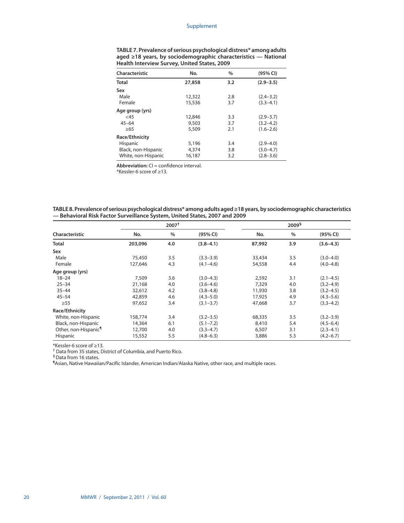| TABLE 7. Prevalence of serious psychological distress* among adults    |
|------------------------------------------------------------------------|
| aged $\geq$ 18 years, by sociodemographic characteristics $-$ National |
| <b>Health Interview Survey, United States, 2009</b>                    |

| No.    | $\%$ | (95% CI)      |
|--------|------|---------------|
| 27,858 | 3.2  | $(2.9 - 3.5)$ |
|        |      |               |
| 12,322 | 2.8  | $(2.4 - 3.2)$ |
| 15,536 | 3.7  | $(3.3 - 4.1)$ |
|        |      |               |
| 12,846 | 3.3  | $(2.9 - 3.7)$ |
| 9,503  | 3.7  | $(3.2 - 4.2)$ |
| 5,509  | 2.1  | $(1.6 - 2.6)$ |
|        |      |               |
| 5,196  | 3.4  | $(2.9 - 4.0)$ |
| 4,374  | 3.8  | $(3.0 - 4.7)$ |
| 16,187 | 3.2  | $(2.8 - 3.6)$ |
|        |      |               |

**Abbreviation:** CI = confidence interval.

\*Kessler-6 score of ≥13.

| TABLE 8. Prevalence of serious psychological distress* among adults aged ≥18 years, by sociodemographic characteristics |
|-------------------------------------------------------------------------------------------------------------------------|
| — Behavioral Risk Factor Surveillance System, United States, 2007 and 2009                                              |

|                                  |         | 2007 <sup>†</sup> |               |        | 2009 <sup>§</sup> |               |
|----------------------------------|---------|-------------------|---------------|--------|-------------------|---------------|
| Characteristic                   | No.     | $\%$              | (95% CI)      | No.    | $\%$              | (95% CI)      |
| Total                            | 203,096 | 4.0               | $(3.8 - 4.1)$ | 87,992 | 3.9               | $(3.6 - 4.3)$ |
| Sex                              |         |                   |               |        |                   |               |
| Male                             | 75,450  | 3.5               | $(3.3 - 3.9)$ | 33,434 | 3.5               | $(3.0 - 4.0)$ |
| Female                           | 127,646 | 4.3               | $(4.1 - 4.6)$ | 54,558 | 4.4               | $(4.0 - 4.8)$ |
| Age group (yrs)                  |         |                   |               |        |                   |               |
| $18 - 24$                        | 7,509   | 3.6               | $(3.0 - 4.3)$ | 2,592  | 3.1               | $(2.1 - 4.5)$ |
| $25 - 34$                        | 21,168  | 4.0               | $(3.6 - 4.6)$ | 7,329  | 4.0               | $(3.2 - 4.9)$ |
| $35 - 44$                        | 32,612  | 4.2               | $(3.8 - 4.8)$ | 11,930 | 3.8               | $(3.2 - 4.5)$ |
| $45 - 54$                        | 42,859  | 4.6               | $(4.3 - 5.0)$ | 17,925 | 4.9               | $(4.3 - 5.6)$ |
| $\geq$ 55                        | 97,652  | 3.4               | $(3.1 - 3.7)$ | 47,668 | 3.7               | $(3.3 - 4.2)$ |
| Race/Ethnicity                   |         |                   |               |        |                   |               |
| White, non-Hispanic              | 158,774 | 3.4               | $(3.2 - 3.5)$ | 68,335 | 3.5               | $(3.2 - 3.9)$ |
| Black, non-Hispanic              | 14,364  | 6.1               | $(5.1 - 7.2)$ | 8,410  | 5.4               | $(4.5 - 6.4)$ |
| Other, non-Hispanic <sup>1</sup> | 12,700  | 4.0               | $(3.3 - 4.7)$ | 6,507  | 3.1               | $(2.3 - 4.1)$ |
| Hispanic                         | 15,552  | 5.5               | $(4.8 - 6.3)$ | 3,886  | 5.3               | $(4.2 - 6.7)$ |

\*Kessler-6 score of ≥13.

† Data from 35 states, District of Columbia, and Puerto Rico.

§ Data from 16 states.

¶Asian, Native Hawaiian/Pacific Islander, American Indian/Alaska Native, other race, and multiple races.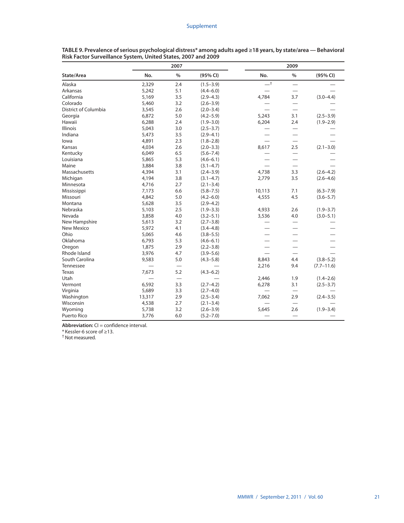|                             |        | 2007                           |               |                          | 2009                     |                |
|-----------------------------|--------|--------------------------------|---------------|--------------------------|--------------------------|----------------|
| State/Area                  | No.    | $\%$                           | (95% CI)      | No.                      | $\%$                     | (95% CI)       |
| Alaska                      | 2,329  | 2.4                            | $(1.5 - 3.9)$ | $-$ t                    |                          |                |
| Arkansas                    | 5,242  | 5.1                            | $(4.4 - 6.0)$ |                          | $\overline{\phantom{0}}$ |                |
| California                  | 5,169  | 3.5                            | $(2.9 - 4.3)$ | 4,784                    | 3.7                      | $(3.0 - 4.4)$  |
| Colorado                    | 5,460  | 3.2                            | $(2.6 - 3.9)$ |                          |                          |                |
| <b>District of Columbia</b> | 3,545  | 2.6                            | $(2.0 - 3.4)$ |                          | $\overline{\phantom{0}}$ |                |
| Georgia                     | 6,872  | $5.0$                          | $(4.2 - 5.9)$ | 5,243                    | 3.1                      | $(2.5 - 3.9)$  |
| Hawaii                      | 6,288  | 2.4                            | $(1.9 - 3.0)$ | 6,204                    | 2.4                      | $(1.9 - 2.9)$  |
| <b>Illinois</b>             | 5,043  | 3.0                            | $(2.5 - 3.7)$ |                          |                          |                |
| Indiana                     | 5,473  | 3.5                            | $(2.9 - 4.1)$ |                          |                          |                |
| lowa                        | 4,891  | 2.3                            | $(1.8 - 2.8)$ |                          |                          |                |
| Kansas                      | 4,034  | 2.6                            | $(2.0 - 3.3)$ | 8,617                    | 2.5                      | $(2.1 - 3.0)$  |
| Kentucky                    | 6,049  | 6.5                            | $(5.6 - 7.4)$ | $\overline{\phantom{0}}$ | $\overline{\phantom{m}}$ |                |
| Louisiana                   | 5,865  | 5.3                            | $(4.6 - 6.1)$ |                          |                          |                |
| Maine                       | 3,884  | 3.8                            | $(3.1 - 4.7)$ |                          | $\overline{\phantom{0}}$ |                |
| Massachusetts               | 4,394  | 3.1                            | $(2.4 - 3.9)$ | 4,738                    | 3.3                      | $(2.6 - 4.2)$  |
| Michigan                    | 4,194  | 3.8                            | $(3.1 - 4.7)$ | 2,779                    | 3.5                      | $(2.6 - 4.6)$  |
| Minnesota                   | 4,716  | 2.7                            | $(2.1 - 3.4)$ |                          |                          |                |
| Mississippi                 | 7,173  | 6.6                            | $(5.8 - 7.5)$ | 10,113                   | 7.1                      | $(6.3 - 7.9)$  |
| Missouri                    | 4,842  | 5.0                            | $(4.2 - 6.0)$ | 4,555                    | 4.5                      | $(3.6 - 5.7)$  |
| Montana                     | 5,628  | 3.5                            | $(2.9 - 4.2)$ |                          |                          |                |
| Nebraska                    | 5,103  | 2.5                            | $(1.9 - 3.3)$ | 4,933                    | 2.6                      | $(1.9 - 3.7)$  |
| Nevada                      | 3,858  | 4.0                            | $(3.2 - 5.1)$ | 3,536                    | 4.0                      | $(3.0 - 5.1)$  |
| New Hampshire               | 5,613  | 3.2                            | $(2.7 - 3.8)$ |                          |                          |                |
| New Mexico                  | 5,972  | 4.1                            | $(3.4 - 4.8)$ |                          |                          |                |
| Ohio                        | 5,065  | 4.6                            | $(3.8 - 5.5)$ |                          |                          |                |
| Oklahoma                    | 6,793  | 5.3                            | $(4.6 - 6.1)$ |                          |                          |                |
| Oregon                      | 1,875  | 2.9                            | $(2.2 - 3.8)$ |                          |                          |                |
| Rhode Island                | 3,976  | 4.7                            | $(3.9 - 5.6)$ |                          |                          |                |
| South Carolina              | 9,583  | 5.0                            | $(4.3 - 5.8)$ | 8,843                    | 4.4                      | $(3.8 - 5.2)$  |
| Tennessee                   |        |                                |               | 2,216                    | 9.4                      | $(7.7 - 11.6)$ |
| Texas                       | 7,673  | 5.2                            | $(4.3 - 6.2)$ |                          |                          |                |
| Utah                        |        | $\overbrace{\phantom{123321}}$ |               | 2,446                    | 1.9                      | $(1.4 - 2.6)$  |
| Vermont                     | 6,592  | 3.3                            | $(2.7 - 4.2)$ | 6,278                    | 3.1                      | $(2.5 - 3.7)$  |
| Virginia                    | 5,689  | 3.3                            | $(2.7 - 4.0)$ |                          |                          |                |
| Washington                  | 13,317 | 2.9                            | $(2.5 - 3.4)$ | 7,062                    | 2.9                      | $(2.4 - 3.5)$  |
| Wisconsin                   | 4,538  | 2.7                            | $(2.1 - 3.4)$ |                          |                          |                |
| Wyoming                     | 5,738  | 3.2                            | $(2.6 - 3.9)$ | 5,645                    | 2.6                      | $(1.9 - 3.4)$  |
| <b>Puerto Rico</b>          | 3,776  | 6.0                            | $(5.2 - 7.0)$ |                          |                          |                |

**TABLE 9. Prevalence of serious psychological distress\* among adults aged ≥18 years, by state/area — Behavioral Risk Factor Surveillance System, United States, 2007 and 2009**

**Abbreviation:** CI = confidence interval.

\* Kessler-6 score of ≥13.

† Not measured.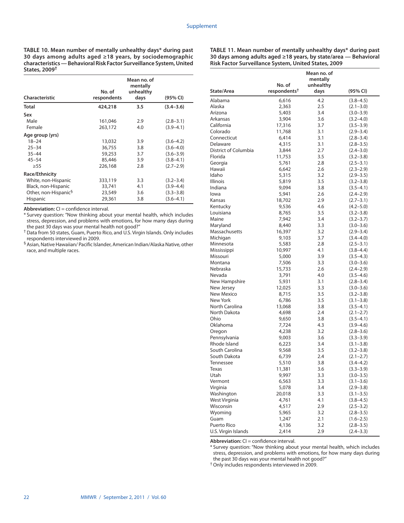**TABLE 10. Mean number of mentally unhealthy days\* during past 30 days among adults aged ≥18 years, by sociodemographic characteristics — Behavioral Risk Factor Surveillance System, United States, 2009†**

|                                  | No. of      | Mean no. of<br>mentally<br>unhealthy |               |
|----------------------------------|-------------|--------------------------------------|---------------|
| Characteristic                   | respondents | days                                 | (95% CI)      |
| <b>Total</b>                     | 424,218     | 3.5                                  | $(3.4 - 3.6)$ |
| Sex                              |             |                                      |               |
| Male                             | 161,046     | 2.9                                  | $(2.8 - 3.1)$ |
| Female                           | 263,172     | 4.0                                  | $(3.9 - 4.1)$ |
| Age group (yrs)                  |             |                                      |               |
| $18 - 24$                        | 13,032      | 3.9                                  | $(3.6 - 4.2)$ |
| $25 - 34$                        | 36,755      | 3.8                                  | $(3.6 - 4.0)$ |
| $35 - 44$                        | 59,253      | 3.7                                  | $(3.6 - 3.9)$ |
| $45 - 54$                        | 85,446      | 3.9                                  | $(3.8 - 4.1)$ |
| $\geq 55$                        | 226,168     | 2.8                                  | $(2.7 - 2.9)$ |
| Race/Ethnicity                   |             |                                      |               |
| White, non-Hispanic              | 333,119     | 3.3                                  | $(3.2 - 3.4)$ |
| Black, non-Hispanic              | 33,741      | 4.1                                  | $(3.9 - 4.4)$ |
| Other, non-Hispanic <sup>§</sup> | 23,549      | 3.6                                  | $(3.3 - 3.8)$ |
| <b>Hispanic</b>                  | 29,361      | 3.8                                  | $(3.6 - 4.1)$ |

**Abbreviation:** CI = confidence interval.

\* Survey question: "Now thinking about your mental health, which includes stress, depression, and problems with emotions, for how many days during the past 30 days was your mental health not good?"

† Data from 50 states, Guam, Puerto Rico, and U.S. Virgin Islands. Only includes respondents interviewed in 2009.

§ Asian, Native Hawaiian/ Pacific Islander, American Indian/Alaska Native, other race, and multiple races.

| TABLE 11. Mean number of mentally unhealthy days* during past   |
|-----------------------------------------------------------------|
| 30 days among adults aged ≥18 years, by state/area — Behavioral |
| Risk Factor Surveillance System, United States, 2009            |

|                              | No. of                   | Mean no. of<br>mentally<br>unhealthy |                                |
|------------------------------|--------------------------|--------------------------------------|--------------------------------|
| State/Area                   | respondents <sup>†</sup> | days                                 | (95% CI)                       |
| Alabama                      | 6,616                    | 4.2                                  | $(3.8 - 4.5)$                  |
| Alaska                       | 2,363                    | 2.5                                  | $(2.1 - 3.0)$                  |
| Arizona                      | 5,403                    | 3.4                                  | $(3.0 - 3.9)$                  |
| Arkansas                     | 3,904                    | 3.6                                  | $(3.2 - 4.0)$                  |
| California                   | 17,316                   | 3.7                                  | $(3.5 - 3.9)$                  |
| Colorado                     | 11,768                   | 3.1                                  | $(2.9 - 3.4)$                  |
| Connecticut                  | 6,414                    | 3.1                                  | $(2.8 - 3.4)$                  |
| Delaware                     | 4,315                    | 3.1                                  | $(2.8 - 3.5)$                  |
| District of Columbia         | 3,844                    | 2.7                                  | $(2.4 - 3.0)$                  |
| Florida                      | 11,753                   | 3.5                                  | $(3.2 - 3.8)$                  |
| Georgia                      | 5,761                    | 2.8                                  | $(2.5 - 3.1)$                  |
| Hawaii                       | 6,642                    | 2.6                                  | $(2.3 - 2.9)$                  |
| Idaho                        | 5,315                    | 3.2                                  | $(2.9 - 3.5)$                  |
| Illinois                     | 5,819                    | 3.5                                  | $(3.2 - 3.8)$                  |
| Indiana                      | 9,094                    | 3.8                                  | $(3.5 - 4.1)$                  |
| lowa                         | 5,941                    | 2.6                                  | $(2.4 - 2.9)$                  |
| Kansas                       | 18,702                   | 2.9                                  | $(2.7 - 3.1)$                  |
| Kentucky                     | 9,536                    | 4.6                                  | $(4.2 - 5.0)$                  |
| Louisiana                    | 8,765                    | 3.5                                  | $(3.2 - 3.8)$                  |
| Maine                        | 7,942                    | 3.4                                  | $(3.2 - 3.7)$                  |
| Maryland                     | 8,440                    | 3.3                                  | $(3.0 - 3.6)$                  |
| Massachusetts                | 16,397                   | 3.2                                  | $(2.9 - 3.4)$                  |
| Michigan                     | 9,103                    | 3.7                                  | $(3.4 - 4.0)$                  |
| Minnesota                    | 5,583                    | 2.8                                  | $(2.5 - 3.1)$                  |
| Mississippi                  | 10,997                   | 4.1                                  | $(3.8 - 4.4)$                  |
| Missouri                     | 5,000                    | 3.9                                  | $(3.5 - 4.3)$                  |
| Montana                      | 7,506                    | 3.3                                  | $(3.0 - 3.6)$                  |
| Nebraska                     | 15,733                   | 2.6                                  | $(2.4 - 2.9)$                  |
| Nevada                       | 3,791                    | 4.0                                  | $(3.5 - 4.6)$                  |
| New Hampshire                | 5,931                    | 3.1                                  | $(2.8 - 3.4)$                  |
| New Jersey                   | 12,025                   | 3.3                                  | $(3.0 - 3.6)$                  |
| New Mexico                   | 8,715                    | 3.5                                  | $(3.2 - 3.8)$                  |
| New York                     | 6,786                    | 3.5                                  | $(3.1 - 3.8)$                  |
| North Carolina               | 13,068                   | 3.8                                  | $(3.5 - 4.1)$                  |
| North Dakota                 | 4,698                    | 2.4                                  | $(2.1 - 2.7)$                  |
| Ohio<br>Oklahoma             | 9,650                    | 3.8                                  | $(3.5 - 4.1)$                  |
|                              | 7,724                    | 4.3<br>3.2                           | $(3.9 - 4.6)$                  |
| Oregon                       | 4,238                    | 3.6                                  | $(2.8 - 3.6)$                  |
| Pennsylvania<br>Rhode Island | 9,003                    | 3.4                                  | $(3.3 - 3.9)$<br>$(3.1 - 3.8)$ |
| South Carolina               | 6,223<br>9,568           | 3.5                                  | $(3.2 - 3.8)$                  |
| South Dakota                 | 6,739                    | 2.4                                  | $(2.1 - 2.7)$                  |
|                              |                          |                                      |                                |
| Tennessee<br>Texas           | 5,510<br>11,381          | 3.8<br>3.6                           | $(3.4 - 4.2)$<br>$(3.3 - 3.9)$ |
| Utah                         | 9,997                    | 3.3                                  | $(3.0 - 3.5)$                  |
| Vermont                      | 6,563                    | 3.3                                  | $(3.1 - 3.6)$                  |
| Virginia                     | 5,078                    | 3.4                                  | $(2.9 - 3.8)$                  |
| Washington                   | 20,018                   | 3.3                                  | $(3.1 - 3.5)$                  |
| West Virginia                | 4,761                    | 4.1                                  | $(3.8 - 4.5)$                  |
| Wisconsin                    | 4,517                    | 2.9                                  | $(2.5 - 3.2)$                  |
| Wyoming                      | 5,965                    | 3.2                                  | $(2.8 - 3.5)$                  |
| Guam                         | 1,247                    | 2.1                                  | $(1.6 - 2.5)$                  |
| Puerto Rico                  | 4,136                    | 3.2                                  | $(2.8 - 3.5)$                  |
| U.S. Virgin Islands          | 2,414                    | 2.9                                  | $(2.4 - 3.3)$                  |
|                              |                          |                                      |                                |

**Abbreviation:** CI = confidence interval.

\* Survey question: "Now thinking about your mental health, which includes stress, depression, and problems with emotions, for how many days during the past 30 days was your mental health not good?"

†Only includes respondents interviewed in 2009.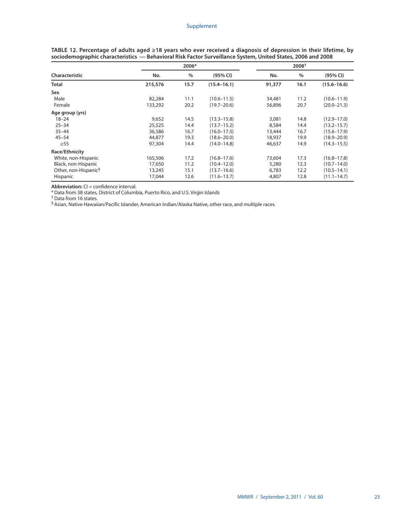|                                  |         | 2006* |                 |        | $2008+$ |                 |
|----------------------------------|---------|-------|-----------------|--------|---------|-----------------|
| Characteristic                   | No.     | %     | (95% CI)        | No.    | $\%$    | (95% CI)        |
| Total                            | 215,576 | 15.7  | $(15.4 - 16.1)$ | 91,377 | 16.1    | $(15.6 - 16.6)$ |
| Sex                              |         |       |                 |        |         |                 |
| Male                             | 82,284  | 11.1  | $(10.6 - 11.5)$ | 34,481 | 11.2    | $(10.6 - 11.9)$ |
| Female                           | 133,292 | 20.2  | $(19.7 - 20.6)$ | 56,896 | 20.7    | $(20.0 - 21.3)$ |
| Age group (yrs)                  |         |       |                 |        |         |                 |
| $18 - 24$                        | 9,652   | 14.5  | $(13.3 - 15.8)$ | 3,081  | 14.8    | $(12.9 - 17.0)$ |
| $25 - 34$                        | 25,525  | 14.4  | $(13.7 - 15.2)$ | 8,584  | 14.4    | $(13.2 - 15.7)$ |
| $35 - 44$                        | 36,586  | 16.7  | $(16.0 - 17.5)$ | 13,444 | 16.7    | $(15.6 - 17.9)$ |
| $45 - 54$                        | 44,877  | 19.3  | $(18.6 - 20.0)$ | 18,937 | 19.9    | $(18.9 - 20.9)$ |
| $\geq$ 55                        | 97,304  | 14.4  | $(14.0 - 14.8)$ | 46,637 | 14.9    | $(14.3 - 15.5)$ |
| Race/Ethnicity                   |         |       |                 |        |         |                 |
| White, non-Hispanic              | 165,506 | 17.2  | $(16.8 - 17.6)$ | 73,604 | 17.3    | $(16.8 - 17.8)$ |
| Black, non-Hispanic              | 17,650  | 11.2  | $(10.4 - 12.0)$ | 5,280  | 12.3    | $(10.7 - 14.0)$ |
| Other, non-Hispanic <sup>§</sup> | 13,245  | 15.1  | $(13.7 - 16.6)$ | 6,783  | 12.2    | $(10.5 - 14.1)$ |
| Hispanic                         | 17,044  | 12.6  | $(11.6 - 13.7)$ | 4,807  | 12.8    | $(11.1 - 14.7)$ |

| TABLE 12. Percentage of adults aged ≥18 years who ever received a diagnosis of depression in their lifetime, by |  |
|-----------------------------------------------------------------------------------------------------------------|--|
| sociodemographic characteristics  — Behavioral Risk Factor Surveillance System, United States, 2006 and 2008    |  |

**Abbreviation:** CI = confidence interval.

\*Data from 38 states, District of Columbia, Puerto Rico, and U.S. Virgin Islands † Data from 16 states.

§ Asian, Native Hawaiian/Pacific Islander, American Indian/Alaska Native, other race, and multiple races.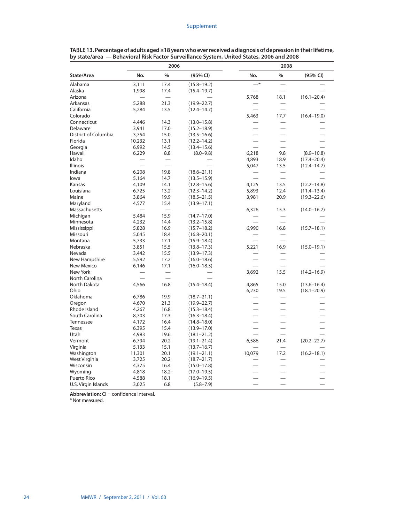|                             | 2006   |      |                                    |        | 2008 |                 |
|-----------------------------|--------|------|------------------------------------|--------|------|-----------------|
| State/Area                  | No.    | %    | (95% CI)                           | No.    | $\%$ | (95% CI)        |
| Alabama                     | 3,111  | 17.4 | $(15.8 - 19.2)$                    | $-$ *  |      |                 |
| Alaska                      | 1,998  | 17.4 | $(15.4 - 19.7)$                    |        |      |                 |
| Arizona                     |        |      |                                    | 5,768  | 18.1 | $(16.1 - 20.4)$ |
| Arkansas                    | 5,288  | 21.3 | $(19.9 - 22.7)$                    |        |      |                 |
| California                  | 5,284  | 13.5 | $(12.4 - 14.7)$                    |        |      |                 |
| Colorado                    |        |      |                                    | 5,463  | 17.7 | $(16.4 - 19.0)$ |
| Connecticut                 | 4,446  | 14.3 | $(13.0 - 15.8)$                    |        |      |                 |
| Delaware                    | 3,941  | 17.0 | $(15.2 - 18.9)$                    |        |      |                 |
| <b>District of Columbia</b> | 3,754  | 15.0 | $(13.5 - 16.6)$                    |        |      |                 |
| Florida                     | 10,232 | 13.1 | $(12.2 - 14.2)$                    |        |      |                 |
| Georgia                     | 6,992  | 14.5 | $(13.4 - 15.6)$                    |        |      |                 |
| Hawaii                      | 6,229  | 8.8  | $(8.0 - 9.8)$                      | 6,218  | 9.8  | $(8.9 - 10.8)$  |
| Idaho                       |        |      |                                    | 4,893  | 18.9 | $(17.4 - 20.4)$ |
| <b>Illinois</b>             |        |      |                                    | 5,047  | 13.5 | $(12.4 - 14.7)$ |
| Indiana                     | 6,208  | 19.8 | $(18.6 - 21.1)$                    |        |      |                 |
| lowa                        | 5,164  | 14.7 | $(13.5 - 15.9)$                    |        |      |                 |
| Kansas                      | 4,109  | 14.1 | $(12.8 - 15.6)$                    | 4,125  | 13.5 | $(12.2 - 14.8)$ |
| Louisiana                   | 6,725  | 13.2 | $(12.3 - 14.2)$                    | 5,893  | 12.4 | $(11.4 - 13.4)$ |
| Maine                       | 3,864  | 19.9 | $(18.5 - 21.5)$                    | 3,981  | 20.9 | $(19.3 - 22.6)$ |
| Maryland                    | 4,577  | 15.4 | $(13.9 - 17.1)$                    |        |      |                 |
| Massachusetts               |        |      |                                    | 6,326  | 15.3 | $(14.0 - 16.7)$ |
| Michigan                    | 5,484  | 15.9 | $(14.7 - 17.0)$                    |        |      |                 |
| Minnesota                   | 4,232  | 14.4 | $(13.2 - 15.8)$                    |        |      |                 |
| Mississippi                 | 5,828  | 16.9 | $(15.7 - 18.2)$                    | 6,990  | 16.8 | $(15.7 - 18.1)$ |
| Missouri                    | 5,045  | 18.4 | $(16.8 - 20.1)$                    |        |      |                 |
| Montana                     | 5,733  | 17.1 | $(15.9 - 18.4)$                    |        |      |                 |
| Nebraska                    | 3,851  | 15.5 | $(13.8 - 17.3)$                    | 5,221  | 16.9 | $(15.0 - 19.1)$ |
| Nevada                      | 3,442  | 15.5 | $(13.9 - 17.3)$                    |        |      |                 |
| New Hampshire               | 5,592  | 17.2 | $(16.0 - 18.6)$                    |        |      |                 |
| <b>New Mexico</b>           | 6,146  | 17.1 | $(16.0 - 18.3)$                    |        |      |                 |
| New York                    |        |      |                                    | 3,692  | 15.5 | $(14.2 - 16.9)$ |
| <b>North Carolina</b>       |        |      |                                    |        |      |                 |
| North Dakota                | 4,566  | 16.8 | $(15.4 - 18.4)$                    | 4,865  | 15.0 | $(13.6 - 16.4)$ |
| Ohio                        |        |      |                                    | 6,230  | 19.5 | $(18.1 - 20.9)$ |
| Oklahoma                    | 6,786  | 19.9 | $(18.7 - 21.1)$                    |        |      |                 |
| Oregon                      | 4,670  | 21.3 | $(19.9 - 22.7)$                    |        |      |                 |
| Rhode Island                | 4,267  | 16.8 | $(15.3 - 18.4)$                    |        |      |                 |
| South Carolina              | 8,703  | 17.3 |                                    |        |      |                 |
| Tennessee                   | 4,172  | 16.4 | $(16.3 - 18.4)$<br>$(14.8 - 18.0)$ |        |      |                 |
|                             |        |      |                                    |        |      |                 |
| Texas<br>Utah               | 6,395  | 15.4 | $(13.9 - 17.0)$                    |        |      |                 |
|                             | 4,983  | 19.6 | $(18.1 - 21.2)$                    |        |      |                 |
| Vermont                     | 6,794  | 20.2 | $(19.1 - 21.4)$                    | 6,586  | 21.4 | $(20.2 - 22.7)$ |
| Virginia                    | 5,133  | 15.1 | $(13.7 - 16.7)$                    |        |      |                 |
| Washington                  | 11,301 | 20.1 | $(19.1 - 21.1)$                    | 10,079 | 17.2 | $(16.2 - 18.1)$ |
| West Virginia               | 3,725  | 20.2 | $(18.7 - 21.7)$                    |        |      |                 |
| Wisconsin                   | 4,375  | 16.4 | $(15.0 - 17.8)$                    |        |      |                 |
| Wyoming                     | 4,818  | 18.2 | $(17.0 - 19.5)$                    |        |      |                 |
| Puerto Rico                 | 4,588  | 18.1 | $(16.9 - 19.5)$                    |        |      |                 |
| U.S. Virgin Islands         | 3,025  | 6.8  | $(5.8 - 7.9)$                      |        |      |                 |

**TABLE 13. Percentage of adults aged ≥18 years who ever received a diagnosis of depression in their lifetime, by state/area — Behavioral Risk Factor Surveillance System, United States, 2006 and 2008**

Abbreviation: CI = confidence interval.

\*Not measured.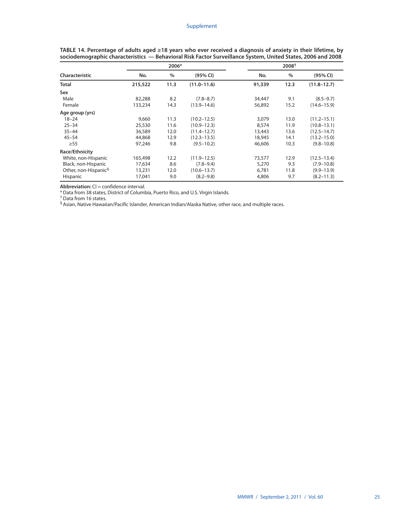|                                  | 2006*<br>$\%$<br>No.<br>(95% CI) |      |                 | 2008 <sup>†</sup> |          |                 |
|----------------------------------|----------------------------------|------|-----------------|-------------------|----------|-----------------|
| Characteristic                   |                                  |      | No.             | $\%$              | (95% CI) |                 |
| Total                            | 215,522                          | 11.3 | $(11.0 - 11.6)$ | 91,339            | 12.3     | $(11.8 - 12.7)$ |
| Sex                              |                                  |      |                 |                   |          |                 |
| Male                             | 82,288                           | 8.2  | $(7.8 - 8.7)$   | 34,447            | 9.1      | $(8.5 - 9.7)$   |
| Female                           | 133,234                          | 14.3 | $(13.9 - 14.6)$ | 56,892            | 15.2     | $(14.6 - 15.9)$ |
| Age group (yrs)                  |                                  |      |                 |                   |          |                 |
| $18 - 24$                        | 9,660                            | 11.3 | $(10.2 - 12.5)$ | 3,079             | 13.0     | $(11.2 - 15.1)$ |
| $25 - 34$                        | 25,530                           | 11.6 | $(10.9 - 12.3)$ | 8,574             | 11.9     | $(10.8 - 13.1)$ |
| $35 - 44$                        | 36,589                           | 12.0 | $(11.4 - 12.7)$ | 13,443            | 13.6     | $(12.5 - 14.7)$ |
| $45 - 54$                        | 44,868                           | 12.9 | $(12.3 - 13.5)$ | 18,945            | 14.1     | $(13.2 - 15.0)$ |
| $\geq 55$                        | 97,246                           | 9.8  | $(9.5 - 10.2)$  | 46,606            | 10.3     | $(9.8 - 10.8)$  |
| Race/Ethnicity                   |                                  |      |                 |                   |          |                 |
| White, non-Hispanic              | 165,498                          | 12.2 | $(11.9 - 12.5)$ | 73,577            | 12.9     | $(12.5 - 13.4)$ |
| Black, non-Hispanic              | 17,634                           | 8.6  | $(7.8 - 9.4)$   | 5,270             | 9.3      | $(7.9 - 10.8)$  |
| Other, non-Hispanic <sup>§</sup> | 13,231                           | 12.0 | $(10.6 - 13.7)$ | 6,781             | 11.8     | $(9.9 - 13.9)$  |
| Hispanic                         | 17,041                           | 9.0  | $(8.2 - 9.8)$   | 4,806             | 9.7      | $(8.2 - 11.3)$  |

| TABLE 14. Percentage of adults aged ≥18 years who ever received a diagnosis of anxiety in their lifetime, by |  |
|--------------------------------------------------------------------------------------------------------------|--|
| sociodemographic characteristics — Behavioral Risk Factor Surveillance System, United States, 2006 and 2008  |  |

**Abbreviation:** CI = confidence interval.

\*Data from 38 states, District of Columbia, Puerto Rico, and U.S. Virgin Islands. † Data from 16 states.

§ Asian, Native Hawaiian/Pacific Islander, American Indian/Alaska Native, other race, and multiple races.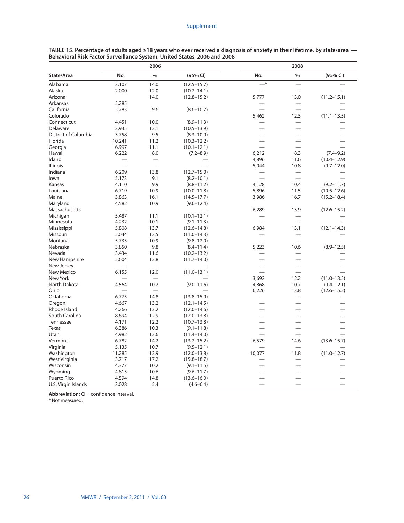|                             |        | 2006                     |                 | 2008                     |                          |                 |  |  |  |  |
|-----------------------------|--------|--------------------------|-----------------|--------------------------|--------------------------|-----------------|--|--|--|--|
| State/Area                  | No.    | $\%$                     | (95% CI)        | No.                      | $\%$                     | (95% CI)        |  |  |  |  |
| Alabama                     | 3,107  | 14.0                     | $(12.5 - 15.7)$ | $*$                      |                          |                 |  |  |  |  |
| Alaska                      | 2,000  | 12.0                     | $(10.2 - 14.1)$ |                          | $\overline{\phantom{0}}$ |                 |  |  |  |  |
| Arizona                     |        | 14.0                     | $(12.8 - 15.2)$ | 5,777                    | 13.0                     | $(11.2 - 15.1)$ |  |  |  |  |
| Arkansas                    | 5,285  |                          |                 |                          |                          |                 |  |  |  |  |
| California                  | 5,283  | 9.6                      | $(8.6 - 10.7)$  |                          |                          |                 |  |  |  |  |
| Colorado                    |        |                          |                 | 5,462                    | 12.3                     | $(11.1 - 13.5)$ |  |  |  |  |
| Connecticut                 | 4,451  | 10.0                     | $(8.9 - 11.3)$  |                          |                          |                 |  |  |  |  |
| Delaware                    | 3,935  | 12.1                     | $(10.5 - 13.9)$ |                          |                          |                 |  |  |  |  |
| <b>District of Columbia</b> | 3,758  | 9.5                      | $(8.3 - 10.9)$  |                          |                          |                 |  |  |  |  |
| Florida                     | 10,241 | 11.2                     | $(10.3 - 12.2)$ |                          | $\overline{\phantom{0}}$ |                 |  |  |  |  |
| Georgia                     | 6,997  | 11.1                     | $(10.1 - 12.1)$ |                          |                          |                 |  |  |  |  |
| Hawaii                      | 6,222  | 8.0                      | $(7.2 - 8.9)$   | 6,212                    | 8.3                      | $(7.4 - 9.2)$   |  |  |  |  |
| Idaho                       |        |                          |                 | 4,896                    | 11.6                     | $(10.4 - 12.9)$ |  |  |  |  |
| Illinois                    |        |                          |                 | 5,044                    | 10.8                     | $(9.7 - 12.0)$  |  |  |  |  |
| Indiana                     | 6,209  | 13.8                     | $(12.7 - 15.0)$ |                          | $\overline{\phantom{0}}$ |                 |  |  |  |  |
| lowa                        | 5,173  | 9.1                      | $(8.2 - 10.1)$  | $\overline{\phantom{0}}$ |                          |                 |  |  |  |  |
| Kansas                      | 4,110  | 9.9                      | $(8.8 - 11.2)$  | 4,128                    | 10.4                     | $(9.2 - 11.7)$  |  |  |  |  |
| Louisiana                   | 6,719  | 10.9                     | $(10.0 - 11.8)$ | 5,896                    | 11.5                     | $(10.5 - 12.6)$ |  |  |  |  |
| Maine                       | 3,863  | 16.1                     | $(14.5 - 17.7)$ | 3,986                    | 16.7                     | $(15.2 - 18.4)$ |  |  |  |  |
| Maryland                    | 4,582  | 10.9                     | $(9.6 - 12.4)$  |                          |                          |                 |  |  |  |  |
| Massachusetts               |        | $\overline{\phantom{0}}$ |                 | 6,289                    | 13.9                     | $(12.6 - 15.2)$ |  |  |  |  |
| Michigan                    | 5,487  | 11.1                     | $(10.1 - 12.1)$ |                          |                          |                 |  |  |  |  |
| Minnesota                   | 4,232  | 10.1                     | $(9.1 - 11.3)$  |                          | $\overline{\phantom{0}}$ |                 |  |  |  |  |
| Mississippi                 | 5,808  | 13.7                     | $(12.6 - 14.8)$ | 6,984                    | 13.1                     | $(12.1 - 14.3)$ |  |  |  |  |
| Missouri                    | 5,044  | 12.5                     | $(11.0 - 14.3)$ |                          |                          |                 |  |  |  |  |
| Montana                     | 5,735  | 10.9                     | $(9.8 - 12.0)$  |                          |                          |                 |  |  |  |  |
| Nebraska                    | 3,850  | 9.8                      | $(8.4 - 11.4)$  | 5,223                    | 10.6                     | $(8.9 - 12.5)$  |  |  |  |  |
| Nevada                      | 3,434  | 11.6                     | $(10.2 - 13.2)$ |                          |                          |                 |  |  |  |  |
| New Hampshire               | 5,604  | 12.8                     | $(11.7 - 14.0)$ |                          | ÷,                       |                 |  |  |  |  |
| New Jersey                  |        |                          |                 |                          | $\overline{\phantom{0}}$ |                 |  |  |  |  |
| <b>New Mexico</b>           | 6,155  | 12.0                     | $(11.0 - 13.1)$ |                          | $\overline{\phantom{0}}$ |                 |  |  |  |  |
| <b>New York</b>             |        |                          |                 | 3,692                    | 12.2                     | $(11.0 - 13.5)$ |  |  |  |  |
| North Dakota                | 4,564  | 10.2                     | $(9.0 - 11.6)$  | 4,868                    | 10.7                     | $(9.4 - 12.1)$  |  |  |  |  |
| Ohio                        |        |                          |                 | 6,226                    | 13.8                     | $(12.6 - 15.2)$ |  |  |  |  |
| Oklahoma                    | 6,775  | 14.8                     | $(13.8 - 15.9)$ |                          |                          |                 |  |  |  |  |
| Oregon                      | 4,667  | 13.2                     | $(12.1 - 14.5)$ |                          | ÷,                       |                 |  |  |  |  |
| Rhode Island                | 4,266  | 13.2                     | $(12.0 - 14.6)$ |                          |                          |                 |  |  |  |  |
| South Carolina              | 8,694  | 12.9                     | $(12.0 - 13.8)$ |                          |                          |                 |  |  |  |  |
| Tennessee                   | 4,171  | 12.2                     | $(10.7 - 13.8)$ |                          |                          |                 |  |  |  |  |
| <b>Texas</b>                | 6,386  | 10.3                     | $(9.1 - 11.8)$  |                          |                          |                 |  |  |  |  |
| Utah                        | 4,982  | 12.6                     | $(11.4 - 14.0)$ |                          | $\overline{\phantom{0}}$ |                 |  |  |  |  |
| Vermont                     | 6,782  | 14.2                     | $(13.2 - 15.2)$ | 6,579                    | 14.6                     | $(13.6 - 15.7)$ |  |  |  |  |
| Virginia                    | 5,135  | 10.7                     | $(9.5 - 12.1)$  |                          | $\overline{\phantom{0}}$ |                 |  |  |  |  |
| Washington                  | 11,285 | 12.9                     | $(12.0 - 13.8)$ | 10,077                   | 11.8                     | $(11.0 - 12.7)$ |  |  |  |  |
| West Virginia               | 3,717  | 17.2                     | $(15.8 - 18.7)$ |                          |                          |                 |  |  |  |  |
| Wisconsin                   | 4,377  | 10.2                     | $(9.1 - 11.5)$  |                          |                          |                 |  |  |  |  |
| Wyoming                     | 4,815  | 10.6                     | $(9.6 - 11.7)$  |                          |                          |                 |  |  |  |  |
| Puerto Rico                 | 4,594  | 14.8                     | $(13.6 - 16.0)$ |                          |                          |                 |  |  |  |  |
| U.S. Virgin Islands         | 3,028  | 5.4                      | $(4.6 - 6.4)$   |                          |                          |                 |  |  |  |  |

**TABLE 15. Percentage of adults aged ≥18 years who ever received a diagnosis of anxiety in their lifetime, by state/area — Behavioral Risk Factor Surveillance System, United States, 2006 and 2008**

**Abbreviation:** CI = confidence interval.

\*Not measured.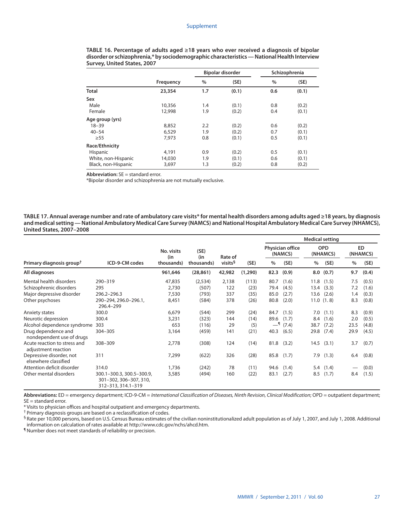|                     |           |      | <b>Bipolar disorder</b> | Schizophrenia |       |  |  |  |
|---------------------|-----------|------|-------------------------|---------------|-------|--|--|--|
|                     | Frequency | $\%$ | (SE)                    | $\%$          | (SE)  |  |  |  |
| <b>Total</b>        | 23,354    | 1.7  | (0.1)                   | 0.6           | (0.1) |  |  |  |
| Sex                 |           |      |                         |               |       |  |  |  |
| Male                | 10,356    | 1.4  | (0.1)                   | 0.8           | (0.2) |  |  |  |
| Female              | 12,998    | 1.9  | (0.2)                   | 0.4           | (0.1) |  |  |  |
| Age group (yrs)     |           |      |                         |               |       |  |  |  |
| $18 - 39$           | 8,852     | 2.2  | (0.2)                   | 0.6           | (0.2) |  |  |  |
| $40 - 54$           | 6,529     | 1.9  | (0.2)                   | 0.7           | (0.1) |  |  |  |
| $\geq 55$           | 7,973     | 0.8  | (0.1)                   | 0.5           | (0.1) |  |  |  |
| Race/Ethnicity      |           |      |                         |               |       |  |  |  |
| Hispanic            | 4,191     | 0.9  | (0.2)                   | 0.5           | (0.1) |  |  |  |
| White, non-Hispanic | 14,030    | 1.9  | (0.1)                   | 0.6           | (0.1) |  |  |  |
| Black, non-Hispanic | 3,697     | 1.3  | (0.2)                   | 0.8           | (0.2) |  |  |  |

**TABLE 16. Percentage of adults aged ≥18 years who ever received a diagnosis of bipolar disorder or schizophrenia,\* by sociodemographic characteristics — National Health Interview Survey, United States, 2007**

**Abbreviation:** SE = standard error.

\*Bipolar disorder and schizophrenia are not mutually exclusive.

**TABLE 17. Annual average number and rate of ambulatory care visits\* for mental health disorders among adults aged ≥18 years, by diagnosis and medical setting — National Ambulatory Medical Care Survey (NAMCS) and National Hospital Ambulatory Medical Care Survey (NHAMCS), United States, 2007–2008**

|                                                     |                                                                           |                   |             |                     |         |                             |                        |      | <b>Medical setting</b> |                          |                       |
|-----------------------------------------------------|---------------------------------------------------------------------------|-------------------|-------------|---------------------|---------|-----------------------------|------------------------|------|------------------------|--------------------------|-----------------------|
|                                                     |                                                                           | No. visits<br>(in | (SE)<br>(in | Rate of             |         | Physician office<br>(NAMCS) |                        |      | <b>OPD</b><br>(NHAMCS) |                          | <b>ED</b><br>(NHAMCS) |
| Primary diagnosis group <sup>†</sup>                | ICD-9-CM codes                                                            | thousands)        | thousands)  | visits <sup>§</sup> | (SE)    | $\%$                        | (SE)                   | $\%$ | (SE)                   | $\%$                     | (SE)                  |
| All diagnoses                                       |                                                                           | 961,646           | (28, 861)   | 42,982              | (1,290) | 82.3                        | (0.9)                  |      | 8.0 (0.7)              | 9.7                      | (0.4)                 |
| Mental health disorders                             | 290-319                                                                   | 47,835            | (2,534)     | 2,138               | (113)   | 80.7                        | (1.6)                  |      | $11.8$ $(1.5)$         | 7.5                      | (0.5)                 |
| Schizophrenic disorders                             | 295                                                                       | 2,730             | (507)       | 122                 | (23)    | 79.4                        | (4.5)                  |      | $13.4$ $(3.3)$         | 7.2                      | (1.6)                 |
| Major depressive disorder                           | 296.2-296.3                                                               | 7,530             | (793)       | 337                 | (35)    | 85.0                        | (2.7)                  | 13.6 | (2.6)                  | 1.4                      | (0.3)                 |
| Other psychoses                                     | 290-294, 296.0-296.1,<br>296.4-299                                        | 8,451             | (584)       | 378                 | (26)    | 80.8                        | (2.0)                  |      | 11.0(1.8)              | 8.3                      | (0.8)                 |
| Anxiety states                                      | 300.0                                                                     | 6,679             | (544)       | 299                 | (24)    | 84.7                        | (1.5)                  |      | $7.0$ $(1.1)$          | 8.3                      | (0.9)                 |
| Neurotic depression                                 | 300.4                                                                     | 3,231             | (323)       | 144                 | (14)    | 89.6                        | (1.7)                  | 8.4  | (1.6)                  | 2.0                      | (0.5)                 |
| Alcohol dependence syndrome                         | 303                                                                       | 653               | (116)       | 29                  | (5)     |                             | $-$ <sup>1</sup> (7.4) | 38.7 | (7.2)                  | 23.5                     | (4.8)                 |
| Drug dependence and<br>nondependent use of drugs    | 304-305                                                                   | 3,164             | (459)       | 141                 | (21)    | 40.3                        | (6.5)                  | 29.8 | (7.4)                  | 29.9                     | (4.5)                 |
| Acute reaction to stress and<br>adjustment reaction | 308-309                                                                   | 2,778             | (308)       | 124                 | (14)    | 81.8                        | (3.2)                  | 14.5 | (3.1)                  | 3.7                      | (0.7)                 |
| Depressive disorder, not<br>elsewhere classified    | 311                                                                       | 7,299             | (622)       | 326                 | (28)    | 85.8                        | (1.7)                  | 7.9  | (1.3)                  | 6.4                      | (0.8)                 |
| Attention deficit disorder                          | 314.0                                                                     | 1,736             | (242)       | 78                  | (11)    | 94.6                        | (1.4)                  |      | 5.4 (1.4)              | $\overline{\phantom{m}}$ | (0.0)                 |
| Other mental disorders                              | 300.1-300.3, 300.5-300.9,<br>301-302, 306-307, 310,<br>312-313, 314.1-319 | 3,585             | (494)       | 160                 | (22)    | 83.1                        | (2.7)                  | 8.5  | (1.7)                  | 8.4                      | (1.5)                 |

**Abbreviations:** ED = emergency department; ICD-9-CM = *International Classification of Diseases, Ninth Revision, Clinical Modification*; OPD = outpatient department; SE = standard error.

\* Visits to physician offices and hospital outpatient and emergency departments.

† Primary diagnosis groups are based on a reclassification of codes.

 $\frac{1}{3}$  Rate per 10,000 persons, based on U.S. Census Bureau estimates of the civilian noninstitutionalized adult population as of July 1, 2007, and July 1, 2008. Additional information on calculation of rates available at <http://www.cdc.gov/nchs/ahcd.htm>.

¶Number does not meet standards of reliability or precision.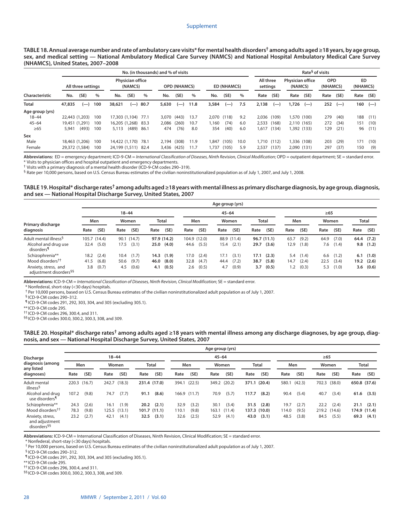**TABLE 18. Annual average number and rate of ambulatory care visits\* for mental health disorders† among adults aged ≥18 years, by age group, sex, and medical setting — National Ambulatory Medical Care Survey (NAMCS) and National Hospital Ambulatory Medical Care Survey (NHAMCS), United States, 2007–2008**

|                 | No. (in thousands) and % of visits |                    |     |                     |                                    |       |             |                     |      |             |                    |      |             |                       | Rate <sup>§</sup> of visits |                                    |      |                        |      |                 |  |  |  |  |  |
|-----------------|------------------------------------|--------------------|-----|---------------------|------------------------------------|-------|-------------|---------------------|------|-------------|--------------------|------|-------------|-----------------------|-----------------------------|------------------------------------|------|------------------------|------|-----------------|--|--|--|--|--|
|                 |                                    | All three settings |     |                     | <b>Physician office</b><br>(NAMCS) |       |             | <b>OPD (NHAMCS)</b> |      |             | <b>ED (NHAMCS)</b> |      |             | All three<br>settings |                             | <b>Physician office</b><br>(NAMCS) |      | <b>OPD</b><br>(NHAMCS) |      | ED.<br>(NHAMCS) |  |  |  |  |  |
| Characteristic  | No.                                | (SE)               | %   | No.                 | (SE)                               | $\%$  | No.         | (SE)                | $\%$ | No.         | (SE)               | $\%$ | Rate        | (SE)                  | Rate                        | (SE)                               | Rate | (SE)                   | Rate | (SE)            |  |  |  |  |  |
| Total           | 47,835                             | $-$                | 100 | 38,621              | $-$                                | 80.7  | 5,630       | —                   | 11.8 | 3,584       | $-$                | 7.5  | 2,138       | $\overline{}$         | 1,726                       | $(-$                               | 252  | $(-$                   | 160  | $(-)$           |  |  |  |  |  |
| Age group (yrs) |                                    |                    |     |                     |                                    |       |             |                     |      |             |                    |      |             |                       |                             |                                    |      |                        |      |                 |  |  |  |  |  |
| $18 - 44$       | 22,443 (1,203)                     |                    | 100 | 17,303 (1,104) 77.1 |                                    |       | 3,070       | (443)               | 13.7 | 2.070 (118) |                    | 9.2  | 2.036 (109) |                       |                             | 1,570 (100)                        | 279  | (40)                   | 188  | (11)            |  |  |  |  |  |
| $45 - 64$       | 19,451 (1,291)                     |                    | 100 | 16.205 (1.268)      |                                    | 83.3  | 2,086       | (260)               | 10.7 | .160        | (74)               | 6.0  | 2.533 (168) |                       | 2.110 (165)                 |                                    | 272  | (34)                   | 151  | (10)            |  |  |  |  |  |
| $\geq 65$       | 5,941                              | (493)              | 100 | 5.113               | (489)                              | -86.1 | 474         | (76)                | 8.0  | 354         | (40)               | 6.0  |             | 1,617 (134)           |                             | 1,392 (133)                        | 129  | (21)                   |      | 96 (11)         |  |  |  |  |  |
| Sex             |                                    |                    |     |                     |                                    |       |             |                     |      |             |                    |      |             |                       |                             |                                    |      |                        |      |                 |  |  |  |  |  |
| Male            | 18,463 (1,206)                     |                    | 100 | 14,422 (1,170)      |                                    | 78.1  | 2.194       | (308)               | 11.9 | 1.847       | (105)              | 10.0 | 1.710 (112) |                       |                             | 1,336 (108)                        | 203  | (29)                   | 171  | (10)            |  |  |  |  |  |
| Female          | 29.372 (1.584)                     |                    | 100 | 24,199 (1,511) 82.4 |                                    |       | 3.436 (425) |                     | 11.7 | .737        | (105)              | 5.9  | 2.537 (137) |                       | 2.090 (131)                 |                                    | 297  | (37)                   | 150  | (9)             |  |  |  |  |  |

**Abbreviations:** ED = emergency department; ICD-9-CM = *International Classification of Diseases, Ninth Revision, Clinical Modification*; OPD = outpatient department; SE = standard error. \* Visits to physician offices and hospital outpatient and emergency departments.

† Visits with a primary diagnosis of a mental health disorder (ICD-9-CM codes 290–319).

§ Rate per 10,000 persons, based on U.S. Census Bureau estimates of the civilian noninstitutionalized population as of July 1, 2007, and July 1, 2008.

#### **TABLE 19. Hospital\* discharge rates† among adults aged ≥18 years with mental illness as primary discharge diagnosis, by age group, diagnosis, and sex — National Hospital Discharge Survey, United States, 2007**

|                                                            | Age group (yrs) |              |           |                |       |                |      |              |           |             |       |            |           |       |       |               |       |               |  |
|------------------------------------------------------------|-----------------|--------------|-----------|----------------|-------|----------------|------|--------------|-----------|-------------|-------|------------|-----------|-------|-------|---------------|-------|---------------|--|
|                                                            |                 |              | $18 - 44$ |                |       |                |      |              | $45 - 64$ |             |       |            | $\geq 65$ |       |       |               |       |               |  |
|                                                            |                 | Men          |           | Women          | Total |                | Men  |              | Women     |             | Total |            |           | Men   | Women |               | Total |               |  |
| Primary discharge<br>diagnosis                             | Rate            | (SE)         | Rate      | (SE)           | Rate  | (SE)           | Rate | (SE)         | Rate      | (SE)        | Rate  | (SE)       | Rate      | (SE)  | Rate  | (SE)          | Rate  | (SE)          |  |
| Adult mental illness <sup>§</sup>                          |                 | 105.7 (14.4) |           | 90.1 (14.7)    |       | 97.9 (14.2)    |      | 104.9 (12.0) |           | 88.9 (11.4) |       | 96.7(11.1) | 63.7      | (9.2) | 64.9  | (7.0)         |       | 64.4 (7.2)    |  |
| Alcohol and drug use<br>disorders <sup>1</sup>             | 32.4            | (5.0)        | 17.5      | (3.1)          |       | $25.0$ $(4.0)$ | 44.6 | (5.5)        | 15.4      | (2.1)       | 29.7  | (3.6)      | 12.9      | (1.8) | 7.6   | (1.4)         |       | $9.8$ (1.2)   |  |
| Schizophrenia**                                            | 18.2            | (2.4)        |           | $10.4$ $(1.7)$ |       | $14.3$ $(1.9)$ | 17.0 | (2.4)        | 17.1      | (3.1)       | 17.1  | (2.3)      | 5.4       | (1.4) |       | $6.6$ $(1.2)$ |       | $6.1$ $(1.0)$ |  |
| Mood disorders <sup>††</sup>                               | 41.5            | (6.8)        | 50.6      | (9.7)          | 46.0  | (8.0)          | 32.8 | (4.7)        | 44.4      | (7.2)       | 38.7  | (5.8)      | 14.7      | (2.4) | 22.5  | (3.4)         |       | 19.2 (2.6)    |  |
| Anxiety, stress, and<br>adiustment disorders <sup>99</sup> | 3.8             | (0.7)        | 4.5       | (0.6)          | 4.1   | (0.5)          | 2.6  | (0.5)        | 4.7       | (0.9)       | 3.7   | (0.5)      | 1.2       | (0.3) | 5.3   | (1.0)         |       | $3.6$ $(0.6)$ |  |

**Abbreviations:** ICD-9-CM = *International Classification of Diseases, Ninth Revision, Clinical Modification*; SE = standard error.

\* Nonfederal, short-stay (<30 days) hospitals.

† Per 10,000 persons, based on U.S. Census Bureau estimates of the civilian noninstitutionalized adult population as of July 1, 2007.

§ ICD-9-CM codes 290–312.

¶ ICD-9-CM codes 291, 292, 303, 304, and 305 (excluding 305.1).

\*\* ICD-9-CM code 295.

†† ICD-9-CM codes 296, 300.4, and 311.

§§ ICD-9-CM codes 300.0, 300.2, 300.3, 308, and 309.

#### **TABLE 20. Hospital\* discharge rates† among adults aged ≥18 years with mental illness among any discharge diagnoses, by age group, diagnosis, and sex — National Hospital Discharge Survey, United States, 2007**

|                                                               |       |              |           |                  |              |                |           |              | Age group (yrs) |              |       |              |       |           |       |              |       |              |  |  |
|---------------------------------------------------------------|-------|--------------|-----------|------------------|--------------|----------------|-----------|--------------|-----------------|--------------|-------|--------------|-------|-----------|-------|--------------|-------|--------------|--|--|
| <b>Discharge</b>                                              |       |              | $18 - 44$ |                  |              |                | $45 - 64$ |              |                 |              |       |              |       | $\geq 65$ |       |              |       |              |  |  |
| diagnosis (among<br>any listed                                |       | Men          | Women     |                  | <b>Total</b> |                | Men       |              |                 | Women        |       | <b>Total</b> |       | Men       | Women |              | Total |              |  |  |
| diagnoses)                                                    | Rate  | (SE)         | Rate      | (SE)             | Rate         | (SE)           | Rate      | (SE)         | Rate            | (SE)         | Rate  | (SE)         | Rate  | (SE)      | Rate  | (SE)         | Rate  | (SE)         |  |  |
| Adult mental<br>illness <sup>§</sup>                          |       | 220.3 (16.7) |           | 242.7 (18.3)     |              | 231.4 (17.0)   | 394.1     | (22.5)       |                 | 349.2 (20.2) |       | 371.1 (20.4) | 580.1 | (42.3)    |       | 702.3 (38.0) |       | 650.8 (37.6) |  |  |
| Alcohol and drug<br>use disorders <sup>¶</sup>                | 107.2 | (9.8)        | 74.7      | (7.7)            | 91.1         | (8.6)          |           | 166.9 (11.7) | 70.9            | (5.7)        | 117.7 | (8.2)        | 90.4  | (5.4)     | 40.7  | (3.4)        | 61.6  | (3.5)        |  |  |
| Schizophrenia**                                               | 24.3  | (2.6)        | 16.1      | (1.9)            |              | $20.2$ $(2.1)$ | 32.9      | (3.2)        | 30.1            | (3.4)        | 31.5  | (2.8)        | 19.7  | (2.7)     | 22.2  | (2.4)        | 21.1  | (2.1)        |  |  |
| Mood disorders <sup>††</sup>                                  | 78.3  | (9.8)        |           | $125.5$ $(13.1)$ |              | 101.7(11.1)    | 110.1     | (9.8)        |                 | 163.1(11.4)  |       | 137.3 (10.0) | 114.0 | (9.5)     |       | 219.2 (14.6) |       | 174.9 (11.4) |  |  |
| Anxiety, stress,<br>and adjustment<br>disorders <sup>§§</sup> | 23.2  | (2.7)        | 42.1      | (4.1)            | 32.5         | (3.1)          | 32.6      | (2.5)        | 52.9            | (4.1)        | 43.0  | (3.1)        | 48.5  | (3.8)     | 84.5  | (5.5)        | 69.3  | (4.1)        |  |  |

**Abbreviations:** ICD-9-CM = International Classification of Diseases, Ninth Revision, Clinical Modification; SE = standard error.

\* Nonfederal, short-stay (<30 days) hospitals.

† Per 10,000 persons, based on U.S. Census Bureau estimates of the civilian noninstitutionalized adult population as of July 1, 2007.

§ ICD-9-CM codes 290–312.

¶ ICD-9-CM codes 291, 292, 303, 304, and 305 (excluding 305.1).

\*\* ICD-9-CM code 295.

†† ICD-9-CM codes 296, 300.4, and 311.

§§ ICD-9-CM codes 300.0, 300.2, 300.3, 308, and 309.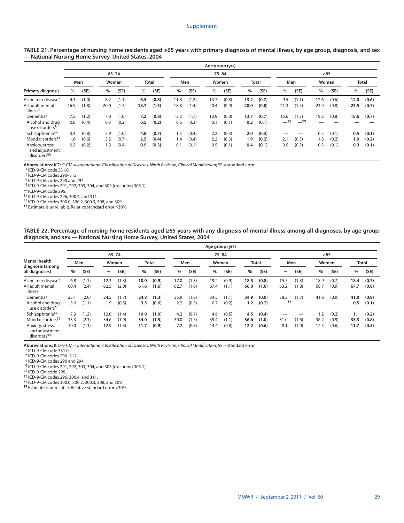| TABLE 21. Percentage of nursing home residents aged ≥65 years with primary diagnosis of mental illness, by age group, diagnosis, and sex |  |  |
|------------------------------------------------------------------------------------------------------------------------------------------|--|--|
| — National Nursing Home Survey, United States, 2004                                                                                      |  |  |

|                                                               |      |       |      |           |       |       |      |       | Age group (yrs) |           |      |              |             |       |       |       |      |       |  |
|---------------------------------------------------------------|------|-------|------|-----------|-------|-------|------|-------|-----------------|-----------|------|--------------|-------------|-------|-------|-------|------|-------|--|
|                                                               |      |       |      | $65 - 74$ |       |       |      |       |                 | $75 - 84$ |      | ≥85          |             |       |       |       |      |       |  |
|                                                               |      | Men   |      | Women     | Total |       | Men  |       |                 | Women     |      | <b>Total</b> |             | Men   | Women |       |      | Total |  |
| Primary diagnosis                                             | %    | (SE)  | $\%$ | (SE)      | %     | (SE)  | $\%$ | (SE)  | %               | (SE)      | $\%$ | (SE)         | %           | (SE)  | %     | (SE)  | %    | (SE)  |  |
| Alzheimer disease*                                            | 4.3  | (1.0) | 8.2  | (1.1)     | 6.5   | (0.8) | 11.8 | (1.2) | 13.7            | (0.8)     | 13.2 | (0.7)        | 9.5         | (1.1) | 12.6  | (0.6) | 12.0 | (0.6) |  |
| All adult mental<br>illness <sup>†</sup>                      | 16.9 | (1.8) | 20.0 | (1.7)     | 18.7  | (1.3) | 18.8 | (1.4) | 20.4            | (0.9)     | 20.0 | (0.8)        | 21.3        | (1.5) | 23.9  | (0.8) | 23.5 | (0.7) |  |
| Dementia <sup>§</sup>                                         | 7.5  | (1.2) | 7.0  | (1.0)     | 7.2   | (0.8) | 13.2 | (1.1) | 13.9            | (0.8)     | 13.7 | (0.7)        | 15.6        | (1.3) | 19.2  | (0.8) | 18.6 | (0.7) |  |
| Alcohol and drug<br>use disorders <sup>1</sup>                | 0.8  | (0.4) | 0.3  | (0.2)     | 0.5   | (0.2) | 0.6  | (0.3) | 0.1             | (0.1)     | 0.2  | (0.1)        | <u>_</u> ¶¶ | - 11  |       |       |      |       |  |
| Schizophrenia**                                               | 3.4  | (0.8) | 5.9  | (1.0)     | 4.8   | (0.7) | 1.5  | (0.4) | 2.2             | (0.3)     | 2.0  | (0.3)        |             |       | 0.5   | (0.1) | 0.5  | (0.1) |  |
| Mood disorders <sup>††</sup>                                  | 1.6  | (0.6) | 3.2  | (0.7)     | 2.5   | (0.4) | 1.4  | (0.4) | 2.2             | (0.3)     | 1.9  | (0.2)        | 2.1         | (0.5) | 1.8   | (0.2) | 1.9  | (0.2) |  |
| Anxiety, stress,<br>and adjustment<br>disorders <sup>§§</sup> | 0.3  | (0.2) | 1.3  | (0.4)     | 0.9   | (0.3) | 0.1  | (0.1) | 0.5             | (0.1)     | 0.4  | (0.1)        | 0.5         | (0.3) | 0.3   | (0.1) | 0.3  | (0.1) |  |

**Abbreviations:** ICD-9-CM = *International Classification of Diseases, Ninth Revision, Clinical Modification*; SE = standard error.

\* ICD-9-CM code 331.0.

† ICD-9-CM codes 290–312.

§ ICD-9-CM codes 290 and 294.

¶ ICD-9-CM codes 291, 292, 303, 304, and 305 (excluding 305.1).

\*\* ICD-9-CM code 295.

†† ICD-9-CM codes 296, 300.4, and 311.

§§ ICD-9-CM codes 300.0, 300.2, 300.3, 308, and 309.

¶¶ Estimate is unreliable. Relative standard error >30%.

**TABLE 22. Percentage of nursing home residents aged ≥65 years with any diagnosis of mental illness among all diagnoses, by age group, diagnosis, and sex — National Nursing Home Survey, United States, 2004**

|                                                               | Age group (yrs) |       |      |           |      |       |      |       |      |           |      |              |      |       |       |       |      |       |
|---------------------------------------------------------------|-----------------|-------|------|-----------|------|-------|------|-------|------|-----------|------|--------------|------|-------|-------|-------|------|-------|
|                                                               |                 |       |      | $65 - 74$ |      |       |      |       |      | $75 - 84$ |      | ≥85          |      |       |       |       |      |       |
| <b>Mental health</b><br>diagnosis (among                      |                 | Men   |      | Women     |      | Total |      | Men   |      | Women     |      | <b>Total</b> |      | Men   | Women |       |      | Total |
| all diagnoses)                                                | %               | (SE)  | $\%$ | (SE)      | %    | (SE)  | %    | (SE)  | %    | (SE)      | $\%$ | (SE)         | $\%$ | (SE)  | $\%$  | (SE)  | $\%$ | (SE)  |
| Alzheimer disease*                                            | 6.8             | (1.1) | 12.3 | (1.3)     | 10.0 | (0.9) | 17.0 | (1.3) | 19.2 | (0.9)     | 18.5 | (0.8)        | 15.7 | (1.3) | 18.9  | (0.7) | 18.4 | (0.7) |
| All adult mental<br>illness <sup>†</sup>                      | 60.4            | (2.4) | 62.5 | (2.0)     | 61.6 | (1.6) | 62.7 | (1.6) | 67.4 | (1.1)     | 66.0 | (1.0)        | 63.2 | (1.8) | 68.7  | (0.9) | 67.7 | (0.8) |
| Dementia <sup>§</sup>                                         | 25.1            | (2.0) | 24.5 | (1.7)     | 24.8 | (1.3) | 35.9 | (1.6) | 34.5 | (1.1)     | 34.9 | (0.9)        | 38.3 | (1.7) | 41.6  | (0.9) | 41.0 | (0.9) |
| Alcohol and drug<br>use disorders <sup>¶</sup>                | 5.6             | (1.1) | 1.9  | (0.5)     | 3.5  | (0.6) | 2.2  | (0.5) | 0.7  | (0.2)     | 1.2  | (0.2)        | _¶¶  |       |       |       | 0.5  | (0.1) |
| Schizophrenia**                                               | 7.3             | (1.2) | 12.0 | (1.4)     | 10.0 | (1.0) | 4.2  | (0.7) | 4.6  | (0.5)     | 4.5  | (0.4)        |      |       | 1.2   | (0.2) | 1.1  | (0.2) |
| Mood disorders <sup>††</sup>                                  | 33.3            | (2.3) | 34.6 | (1.9)     | 34.0 | (1.5) | 30.0 | (1.5) | 39.4 | (1.1)     | 36.6 | (1.0)        | 31.0 | (1.6) | 36.2  | (0.9) | 35.3 | (0.8) |
| Anxiety, stress,<br>and adjustment<br>disorders <sup>§§</sup> | 10.0            | (1.3) | 12.9 | (1.3)     | 11.7 | (0.9) | 7.2  | (0.8) | 14.4 | (0.8)     | 12.2 | (0.6)        | 8.1  | (1.0) | 12.5  | (0.6) | 11.7 | (0.5) |

**Abbreviations:** ICD-9-CM = *International Classification of Diseases, Ninth Revision, Clinical Modification*; SE = standard error.

\* ICD-9-CM code 331.0.

† ICD-9-CM codes 290–312.

§ ICD-9-CM codes 290 and 294.

¶ ICD-9-CM codes 291, 292, 303, 304, and 305 (excluding 305.1).

\*\* ICD-9-CM code 295.

†† ICD-9-CM codes 296, 300.4, and 311.

§§ ICD-9-CM codes 300.0, 300.2, 300.3, 308, and 309.

¶¶ Estimate is unreliable. Relative standard error >30%.

MMWR / September 2, 2011 / Vol. 60 29